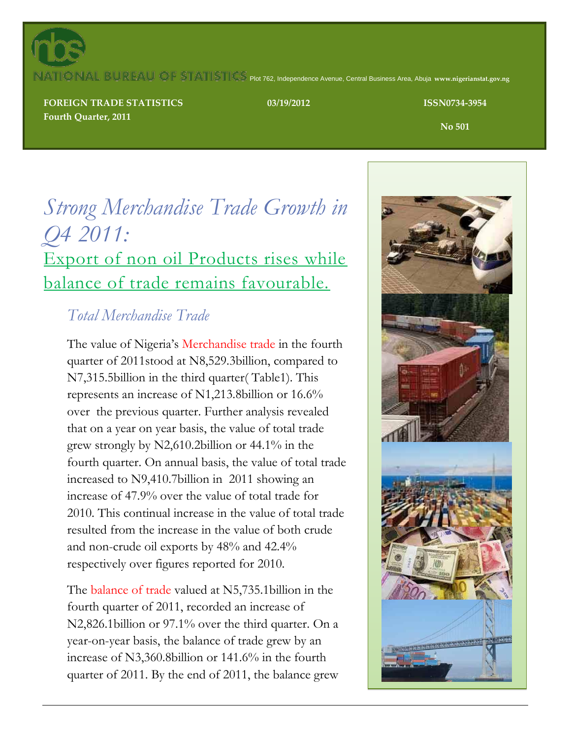

### ATIONAL BUREAU OF STATISTICS Plot 762, Independence Avenue, Central Business Area, Abuja www.nigerianstat.gov.ng

**TRADE STATISTICS FOREIGN TRADE STATISTICS Second Quarter, 2011 Fourth Quarter, 2011**

**03/19/2012 ISSN0734-3954**

**No 501**

# *Strong Merchandise Trade Growth in Q4 2011:* Export of non oil Products rises while balance of trade remains favourable.

### *Total Merchandise Trade*

The value of Nigeria's Merchandise trade in the fourth quarter of 2011stood at N8,529.3billion, compared to N7,315.5billion in the third quarter( Table1). This represents an increase of N1,213.8billion or 16.6% over the previous quarter. Further analysis revealed that on a year on year basis, the value of total trade grew strongly by N2,610.2billion or 44.1% in the fourth quarter. On annual basis, the value of total trade increased to N9,410.7billion in 2011 showing an increase of 47.9% over the value of total trade for 2010. This continual increase in the value of total trade resulted from the increase in the value of both crude and non-crude oil exports by 48% and 42.4% respectively over figures reported for 2010.

The balance of trade valued at N5,735.1billion in the fourth quarter of 2011, recorded an increase of N2,826.1billion or 97.1% over the third quarter. On a year-on-year basis, the balance of trade grew by an increase of N3,360.8billion or 141.6% in the fourth quarter of 2011. By the end of 2011, the balance grew

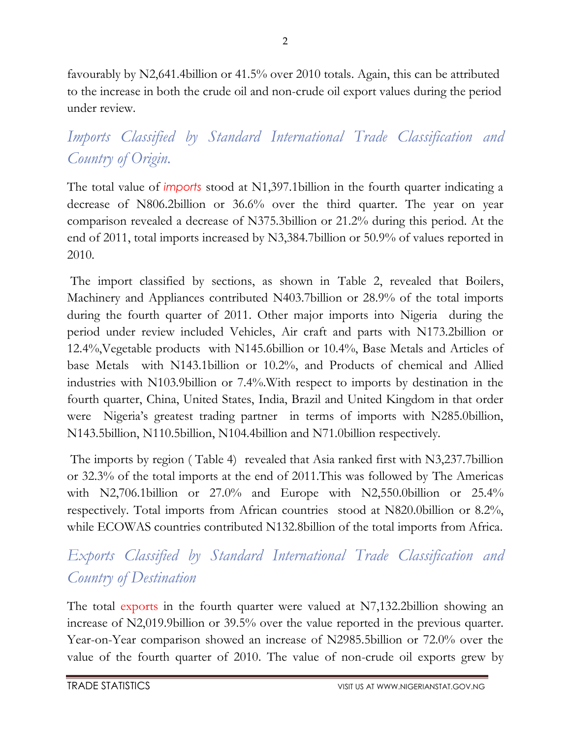favourably by N2,641.4billion or 41.5% over 2010 totals. Again, this can be attributed to the increase in both the crude oil and non-crude oil export values during the period under review.

# *Imports Classified by Standard International Trade Classification and Country of Origin.*

The total value of *imports* stood at N1,397.1billion in the fourth quarter indicating a decrease of N806.2billion or 36.6% over the third quarter. The year on year comparison revealed a decrease of N375.3billion or 21.2% during this period. At the end of 2011, total imports increased by N3,384.7billion or 50.9% of values reported in 2010.

The import classified by sections, as shown in Table 2, revealed that Boilers, Machinery and Appliances contributed N403.7billion or 28.9% of the total imports during the fourth quarter of 2011. Other major imports into Nigeria during the period under review included Vehicles, Air craft and parts with N173.2billion or 12.4%,Vegetable products with N145.6billion or 10.4%, Base Metals and Articles of base Metals with N143.1billion or 10.2%, and Products of chemical and Allied industries with N103.9billion or 7.4%.With respect to imports by destination in the fourth quarter, China, United States, India, Brazil and United Kingdom in that order were Nigeria's greatest trading partner in terms of imports with N285.0billion, N143.5billion, N110.5billion, N104.4billion and N71.0billion respectively.

The imports by region ( Table 4) revealed that Asia ranked first with N3,237.7billion or 32.3% of the total imports at the end of 2011.This was followed by The Americas with N2,706.1billion or 27.0% and Europe with N2,550.0billion or 25.4% respectively. Total imports from African countries stood at N820.0billion or 8.2%, while ECOWAS countries contributed N132.8billion of the total imports from Africa.

## *Exports Classified by Standard International Trade Classification and Country of Destination*

The total exports in the fourth quarter were valued at N7,132.2billion showing an increase of N2,019.9billion or 39.5% over the value reported in the previous quarter. Year-on-Year comparison showed an increase of N2985.5billion or 72.0% over the value of the fourth quarter of 2010. The value of non-crude oil exports grew by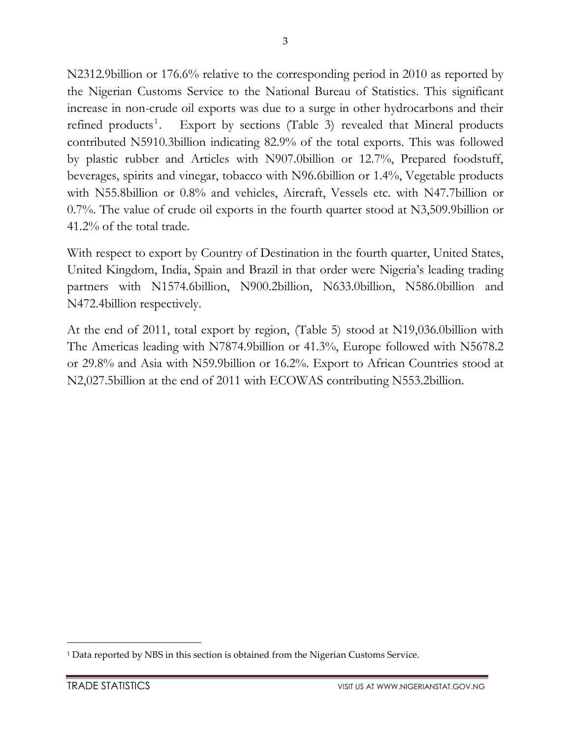N2312.9billion or 176.6% relative to the corresponding period in 2010 as reported by the Nigerian Customs Service to the National Bureau of Statistics. This significant increase in non-crude oil exports was due to a surge in other hydrocarbons and their refined products $\cdot$ . . Export by sections (Table 3) revealed that Mineral products contributed N5910.3billion indicating 82.9% of the total exports. This was followed by plastic rubber and Articles with N907.0billion or 12.7%, Prepared foodstuff, beverages, spirits and vinegar, tobacco with N96.6billion or 1.4%, Vegetable products with N55.8billion or 0.8% and vehicles, Aircraft, Vessels etc. with N47.7billion or 0.7%. The value of crude oil exports in the fourth quarter stood at N3,509.9billion or 41.2% of the total trade.

With respect to export by Country of Destination in the fourth quarter, United States, United Kingdom, India, Spain and Brazil in that order were Nigeria's leading trading partners with N1574.6billion, N900.2billion, N633.0billion, N586.0billion and N472.4billion respectively.

At the end of 2011, total export by region, (Table 5) stood at N19,036.0billion with The Americas leading with N7874.9billion or 41.3%, Europe followed with N5678.2 or 29.8% and Asia with N59.9billion or 16.2%. Export to African Countries stood at N2,027.5billion at the end of 2011 with ECOWAS contributing N553.2billion.

1

<sup>1</sup> Data reported by NBS in this section is obtained from the Nigerian Customs Service.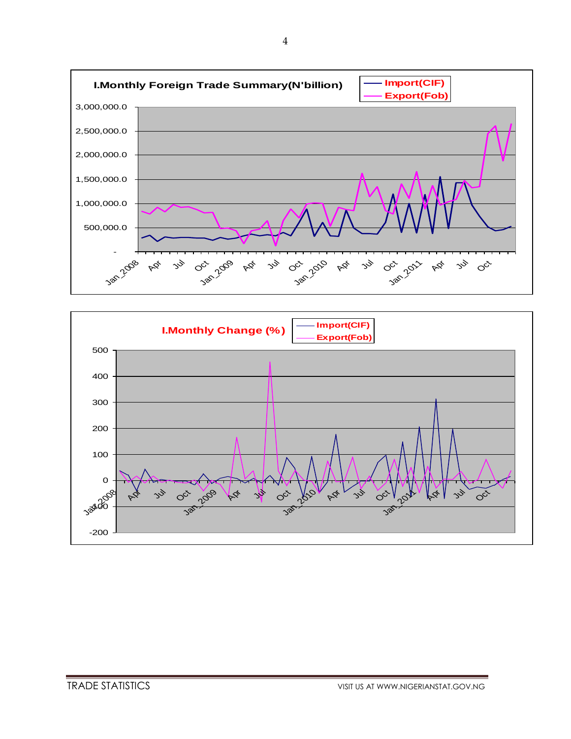

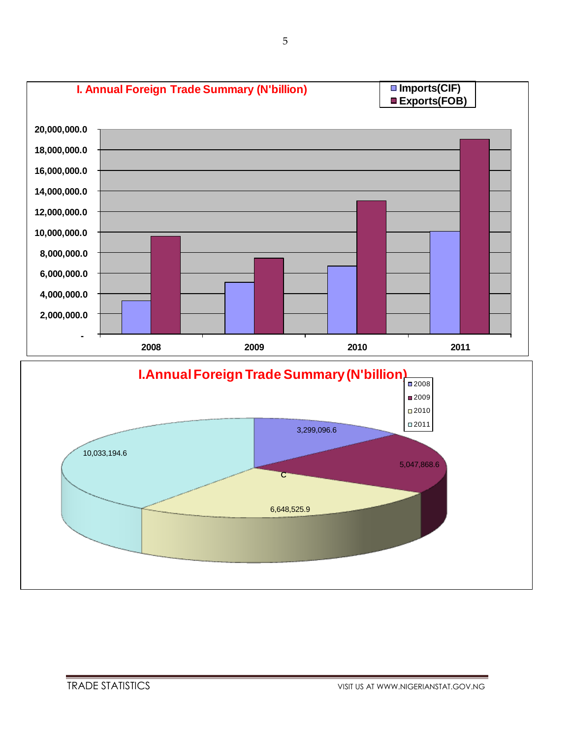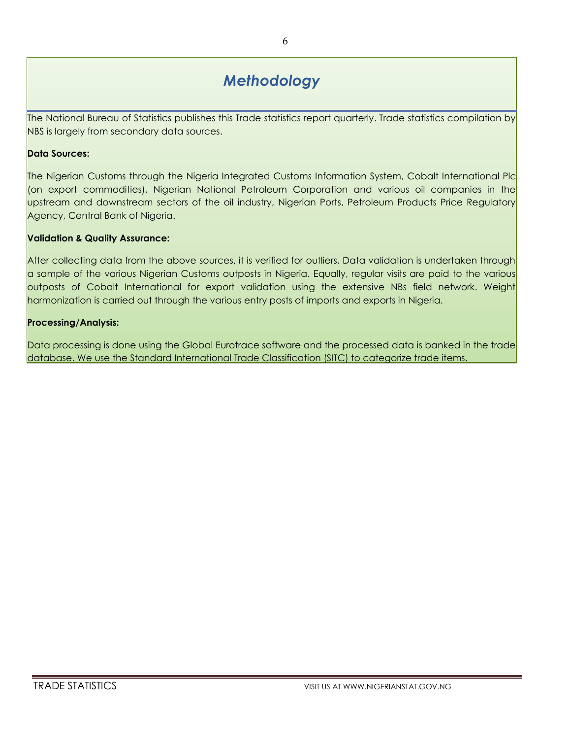### *Methodology*

The National Bureau of Statistics publishes this Trade statistics report quarterly. Trade statistics compilation by NBS is largely from secondary data sources.

#### **Data Sources:**

The Nigerian Customs through the Nigeria Integrated Customs Information System, Cobalt International Plc (on export commodities), Nigerian National Petroleum Corporation and various oil companies in the upstream and downstream sectors of the oil industry, Nigerian Ports, Petroleum Products Price Regulatory Agency, Central Bank of Nigeria.

#### **Validation & Quality Assurance:**

After collecting data from the above sources, it is verified for outliers, Data validation is undertaken through a sample of the various Nigerian Customs outposts in Nigeria. Equally, regular visits are paid to the various outposts of Cobalt International for export validation using the extensive NBs field network. Weight harmonization is carried out through the various entry posts of imports and exports in Nigeria.

#### **Processing/Analysis:**

Data processing is done using the Global Eurotrace software and the processed data is banked in the trade database. We use the Standard International Trade Classification (SITC) to categorize trade items.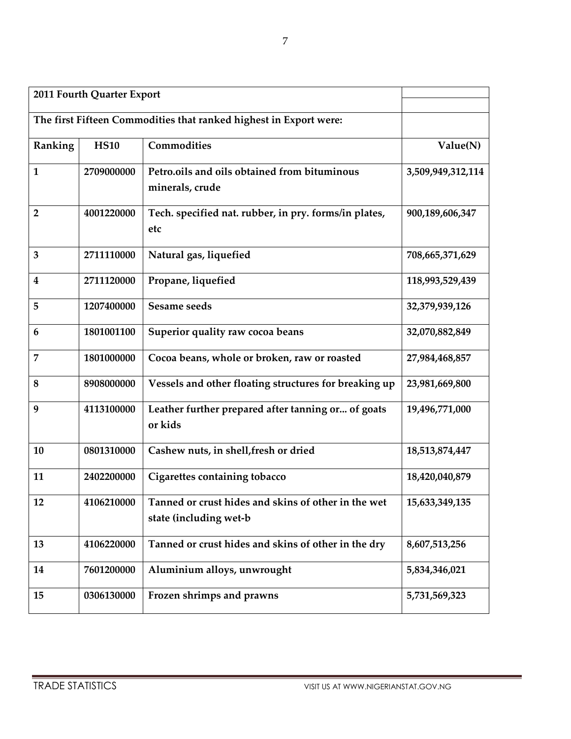| 2011 Fourth Quarter Export |             |                                                                               |                   |
|----------------------------|-------------|-------------------------------------------------------------------------------|-------------------|
|                            |             | The first Fifteen Commodities that ranked highest in Export were:             |                   |
| Ranking                    | <b>HS10</b> | Commodities                                                                   | Value(N)          |
| $\mathbf{1}$               | 2709000000  | Petro.oils and oils obtained from bituminous<br>minerals, crude               | 3,509,949,312,114 |
| $\overline{2}$             | 4001220000  | Tech. specified nat. rubber, in pry. forms/in plates,<br>etc                  | 900,189,606,347   |
| 3                          | 2711110000  | Natural gas, liquefied                                                        | 708,665,371,629   |
| $\boldsymbol{4}$           | 2711120000  | Propane, liquefied                                                            | 118,993,529,439   |
| 5                          | 1207400000  | Sesame seeds                                                                  | 32,379,939,126    |
| 6                          | 1801001100  | Superior quality raw cocoa beans                                              | 32,070,882,849    |
| $\overline{7}$             | 1801000000  | Cocoa beans, whole or broken, raw or roasted                                  | 27,984,468,857    |
| $\bf 8$                    | 8908000000  | Vessels and other floating structures for breaking up                         | 23,981,669,800    |
| 9                          | 4113100000  | Leather further prepared after tanning or of goats<br>or kids                 | 19,496,771,000    |
| 10                         | 0801310000  | Cashew nuts, in shell, fresh or dried                                         | 18,513,874,447    |
| 11                         | 2402200000  | Cigarettes containing tobacco                                                 | 18,420,040,879    |
| 12                         | 4106210000  | Tanned or crust hides and skins of other in the wet<br>state (including wet-b | 15,633,349,135    |
| 13                         | 4106220000  | Tanned or crust hides and skins of other in the dry                           | 8,607,513,256     |
| 14                         | 7601200000  | Aluminium alloys, unwrought                                                   | 5,834,346,021     |
| 15                         | 0306130000  | Frozen shrimps and prawns                                                     | 5,731,569,323     |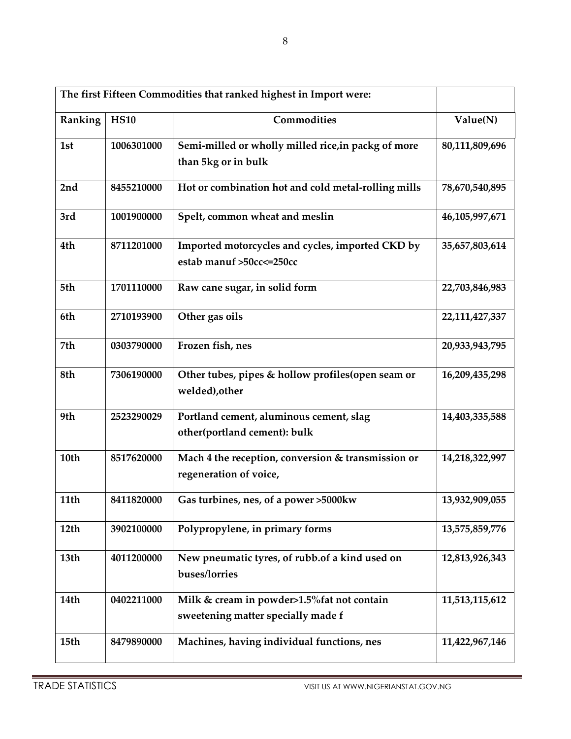| The first Fifteen Commodities that ranked highest in Import were: |             |                                                                                   |                |
|-------------------------------------------------------------------|-------------|-----------------------------------------------------------------------------------|----------------|
| Ranking                                                           | <b>HS10</b> | Commodities                                                                       | Value(N)       |
| 1st                                                               | 1006301000  | Semi-milled or wholly milled rice, in packg of more<br>than 5kg or in bulk        | 80,111,809,696 |
| 2nd                                                               | 8455210000  | Hot or combination hot and cold metal-rolling mills                               | 78,670,540,895 |
| 3rd                                                               | 1001900000  | Spelt, common wheat and meslin                                                    | 46,105,997,671 |
| 4th                                                               | 8711201000  | Imported motorcycles and cycles, imported CKD by<br>estab manuf >50cc <= 250cc    | 35,657,803,614 |
| 5th                                                               | 1701110000  | Raw cane sugar, in solid form                                                     | 22,703,846,983 |
| 6th                                                               | 2710193900  | Other gas oils                                                                    | 22,111,427,337 |
| 7th                                                               | 0303790000  | Frozen fish, nes                                                                  | 20,933,943,795 |
| 8th                                                               | 7306190000  | Other tubes, pipes & hollow profiles (open seam or<br>welded), other              | 16,209,435,298 |
| 9th                                                               | 2523290029  | Portland cement, aluminous cement, slag<br>other(portland cement): bulk           | 14,403,335,588 |
| 10th                                                              | 8517620000  | Mach 4 the reception, conversion & transmission or<br>regeneration of voice,      | 14,218,322,997 |
| 11th                                                              | 8411820000  | Gas turbines, nes, of a power >5000kw                                             | 13,932,909,055 |
| 12 <sub>th</sub>                                                  | 3902100000  | Polypropylene, in primary forms                                                   | 13,575,859,776 |
| 13th                                                              | 4011200000  | New pneumatic tyres, of rubb.of a kind used on<br>buses/lorries                   | 12,813,926,343 |
| 14th                                                              | 0402211000  | Milk & cream in powder>1.5% fat not contain<br>sweetening matter specially made f | 11,513,115,612 |
| 15 <sub>th</sub>                                                  | 8479890000  | Machines, having individual functions, nes                                        | 11,422,967,146 |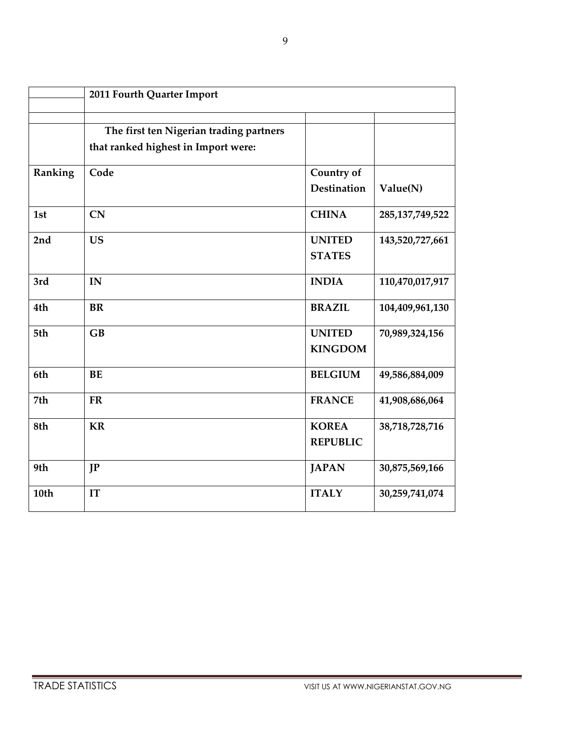|         | 2011 Fourth Quarter Import                                                     |                                  |                    |
|---------|--------------------------------------------------------------------------------|----------------------------------|--------------------|
|         | The first ten Nigerian trading partners<br>that ranked highest in Import were: |                                  |                    |
| Ranking | Code                                                                           | Country of<br><b>Destination</b> | Value(N)           |
| 1st     | CN                                                                             | <b>CHINA</b>                     | 285, 137, 749, 522 |
| 2nd     | <b>US</b>                                                                      | <b>UNITED</b><br><b>STATES</b>   | 143,520,727,661    |
| 3rd     | IN                                                                             | <b>INDIA</b>                     | 110,470,017,917    |
| 4th     | <b>BR</b>                                                                      | <b>BRAZIL</b>                    | 104,409,961,130    |
| 5th     | GB                                                                             | <b>UNITED</b><br><b>KINGDOM</b>  | 70,989,324,156     |
| 6th     | <b>BE</b>                                                                      | <b>BELGIUM</b>                   | 49,586,884,009     |
| 7th     | <b>FR</b>                                                                      | <b>FRANCE</b>                    | 41,908,686,064     |
| 8th     | <b>KR</b>                                                                      | <b>KOREA</b><br><b>REPUBLIC</b>  | 38,718,728,716     |
| 9th     | IP                                                                             | <b>JAPAN</b>                     | 30,875,569,166     |
| 10th    | IT                                                                             | <b>ITALY</b>                     | 30,259,741,074     |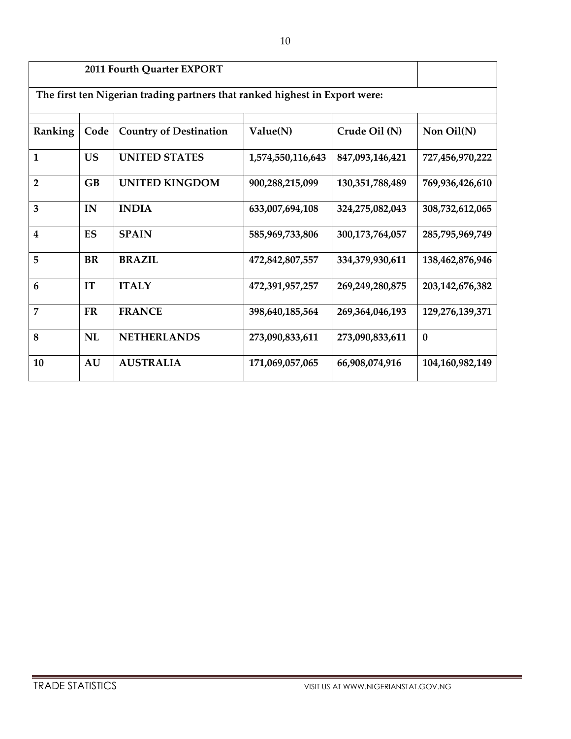|                         | 2011 Fourth Quarter EXPORT                                                  |                               |                   |                 |                    |  |  |  |  |  |  |  |
|-------------------------|-----------------------------------------------------------------------------|-------------------------------|-------------------|-----------------|--------------------|--|--|--|--|--|--|--|
|                         | The first ten Nigerian trading partners that ranked highest in Export were: |                               |                   |                 |                    |  |  |  |  |  |  |  |
| Ranking                 | Code                                                                        | <b>Country of Destination</b> | Value(N)          | Crude Oil (N)   | Non Oil(N)         |  |  |  |  |  |  |  |
| $\mathbf{1}$            | <b>US</b>                                                                   | <b>UNITED STATES</b>          | 1,574,550,116,643 | 847,093,146,421 | 727,456,970,222    |  |  |  |  |  |  |  |
| $\overline{2}$          | GB                                                                          | <b>UNITED KINGDOM</b>         | 900,288,215,099   | 130,351,788,489 | 769,936,426,610    |  |  |  |  |  |  |  |
| 3                       | IN                                                                          | <b>INDIA</b>                  | 633,007,694,108   | 324,275,082,043 | 308,732,612,065    |  |  |  |  |  |  |  |
| $\overline{\mathbf{4}}$ | ES                                                                          | <b>SPAIN</b>                  | 585,969,733,806   | 300,173,764,057 | 285,795,969,749    |  |  |  |  |  |  |  |
| 5                       | <b>BR</b>                                                                   | <b>BRAZIL</b>                 | 472,842,807,557   | 334,379,930,611 | 138,462,876,946    |  |  |  |  |  |  |  |
| 6                       | IT                                                                          | <b>ITALY</b>                  | 472,391,957,257   | 269,249,280,875 | 203, 142, 676, 382 |  |  |  |  |  |  |  |
| 7                       | <b>FR</b>                                                                   | <b>FRANCE</b>                 | 398,640,185,564   | 269,364,046,193 | 129,276,139,371    |  |  |  |  |  |  |  |
| 8                       | NL                                                                          | <b>NETHERLANDS</b>            | 273,090,833,611   | 273,090,833,611 | $\bf{0}$           |  |  |  |  |  |  |  |
| 10                      | <b>AU</b>                                                                   | <b>AUSTRALIA</b>              | 171,069,057,065   | 66,908,074,916  | 104,160,982,149    |  |  |  |  |  |  |  |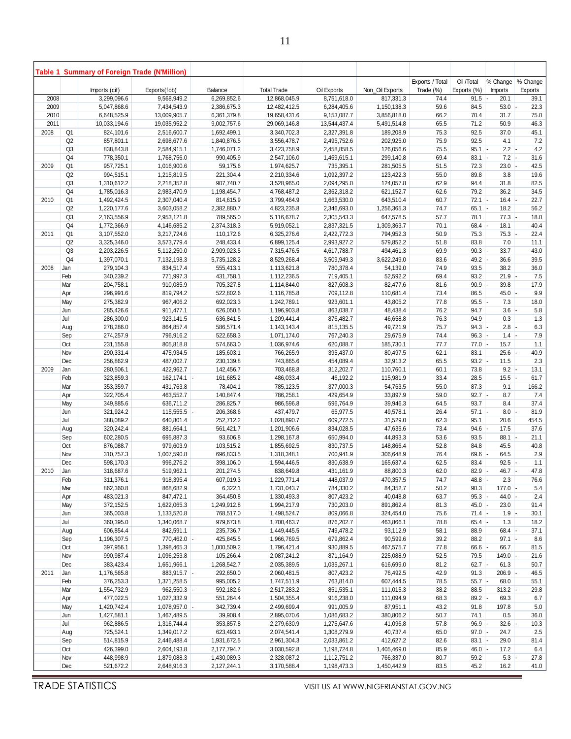|              |                | Table 1 Summary of Foreign Trade (N'Million) |                              |                            |                              |                            |                          |                 |                  |                |                |
|--------------|----------------|----------------------------------------------|------------------------------|----------------------------|------------------------------|----------------------------|--------------------------|-----------------|------------------|----------------|----------------|
|              |                |                                              |                              |                            |                              |                            |                          | Exports / Total | Oil /Total       | % Change       | % Change       |
|              |                | Imports (cif)                                | Exports(fob)                 | Balance                    | <b>Total Trade</b>           | Oil Exports                | Non_Oil Exports          | Trade (%)       | Exports (%)      | <b>Imports</b> | <b>Exports</b> |
| 2008<br>2009 |                | 3,299,096.6<br>5,047,868.6                   | 9,568,949.2<br>7,434,543.9   | 6,269,852.6<br>2,386,675.3 | 12,868,045.9<br>12,482,412.5 | 8,751,618.0<br>6,284,405.6 | 817,331.3<br>1,150,138.3 | 74.4<br>59.6    | $91.5$ -<br>84.5 | 20.1<br>53.0   | 39.1<br>22.3   |
| 2010         |                | 6,648,525.9                                  | 13,009,905.7                 | 6,361,379.8                | 19,658,431.6                 | 9,153,087.7                | 3,856,818.0              | 66.2            | 70.4             | 31.7           | 75.0           |
| 2011         |                | 10,033,194.6                                 | 19,035,952.2                 | 9,002,757.6                | 29,069,146.8                 | 13,544,437.4               | 5,491,514.8              | 65.5            | 71.2             | 50.9           | 46.3           |
| 2008         | Q1             | 824,101.6                                    | 2,516,600.7                  | 1,692,499.1                | 3,340,702.3                  | 2,327,391.8                | 189,208.9                | 75.3            | 92.5             | 37.0           | 45.1           |
|              | Q2             | 857,801.1                                    | 2,698,677.6                  | 1,840,876.5                | 3,556,478.7                  | 2,495,752.6                | 202,925.0                | 75.9            | 92.5             | 4.1            | 7.2            |
|              | Q <sub>3</sub> | 838,843.8                                    | 2,584,915.1                  | 1,746,071.2                | 3,423,758.9                  | 2,458,858.5                | 126,056.6                | 75.5            | $95.1 -$         | $2.2$ -        | 4.2            |
|              | Q4             | 778,350.1                                    | 1,768,756.0                  | 990,405.9                  | 2,547,106.0                  | 1,469,615.1                | 299,140.8                | 69.4            | $83.1 -$         | 7.2            | 31.6           |
| 2009         | Q1             | 957,725.1                                    | 1,016,900.6                  | 59,175.6                   | 1,974,625.7                  | 735,395.1                  | 281,505.5                | 51.5            | 72.3             | 23.0           | 42.5           |
|              | Q2             | 994,515.1                                    | 1,215,819.5                  | 221,304.4                  | 2,210,334.6                  | 1,092,397.2                | 123,422.3                | 55.0            | 89.8             | 3.8            | 19.6           |
|              | Q <sub>3</sub> | 1,310,612.2                                  | 2,218,352.8                  | 907,740.7                  | 3,528,965.0                  | 2,094,295.0                | 124,057.8                | 62.9            | 94.4             | 31.8           | 82.5           |
|              | Q4             | 1,785,016.3                                  | 2,983,470.9                  | 1,198,454.7                | 4,768,487.2                  | 2,362,318.2                | 621,152.7                | 62.6            | 79.2             | 36.2           | 34.5           |
| 2010         | Q1             | 1,492,424.5                                  | 2,307,040.4                  | 814,615.9                  | 3,799,464.9                  | 1,663,530.0                | 643,510.4                | 60.7            | $72.1$ -         | $16.4$ -       | 22.7           |
|              | Q2             | 1,220,177.6                                  | 3,603,058.2                  | 2,382,880.7                | 4,823,235.8                  | 2,346,693.0                | 1,256,365.3              | 74.7            | $65.1$ -         | 18.2           | 56.2           |
|              | Q <sub>3</sub> | 2,163,556.9                                  | 2,953,121.8                  | 789,565.0                  | 5,116,678.7                  | 2,305,543.3                | 647,578.5                | 57.7            | 78.1             | $77.3$ -       | 18.0           |
| 2011         | Q4<br>Q1       | 1,772,366.9<br>3,107,552.0                   | 4,146,685.2<br>3,217,724.6   | 2,374,318.3<br>110,172.6   | 5,919,052.1<br>6,325,276.6   | 2,837,321.5<br>2,422,772.3 | 1,309,363.7<br>794,952.3 | 70.1<br>50.9    | $68.4$ -<br>75.3 | 18.1<br>75.3   | 40.4<br>22.4   |
|              | Q2             | 3,325,346.0                                  | 3,573,779.4                  | 248,433.4                  | 6,899,125.4                  | 2,993,927.2                | 579,852.2                | 51.8            | 83.8             | 7.0            | 11.1           |
|              | Q <sub>3</sub> | 2,203,226.5                                  | 5,112,250.0                  | 2,909,023.5                | 7,315,476.5                  | 4,617,788.7                | 494,461.3                | 69.9            | $90.3 -$         | 33.7           | 43.0           |
|              | Q4             | 1,397,070.1                                  | 7,132,198.3                  | 5,735,128.2                | 8,529,268.4                  | 3,509,949.3                | 3,622,249.0              | 83.6            | $49.2$ -         | 36.6           | 39.5           |
| 2008         | Jan            | 279,104.3                                    | 834,517.4                    | 555,413.1                  | 1,113,621.8                  | 780,378.4                  | 54,139.0                 | 74.9            | 93.5             | 38.2           | 36.0           |
|              | Feb            | 340,239.2                                    | 771,997.3                    | 431,758.1                  | 1,112,236.5                  | 719,405.1                  | 52,592.2                 | 69.4            | 93.2             | 21.9           | 7.5            |
|              | Mar            | 204,758.1                                    | 910,085.9                    | 705,327.8                  | 1,114,844.0                  | 827,608.3                  | 82,477.6                 | 81.6            | $90.9$ -         | 39.8           | 17.9           |
|              | Apr            | 296,991.6                                    | 819,794.2                    | 522,802.6                  | 1,116,785.8                  | 709,112.8                  | 110,681.4                | 73.4            | 86.5             | 45.0           | 9.9            |
|              | May            | 275,382.9                                    | 967,406.2                    | 692,023.3                  | 1,242,789.1                  | 923,601.1                  | 43,805.2                 | 77.8            | $95.5$ -         | 7.3            | 18.0           |
|              | Jun            | 285,426.6                                    | 911,477.1                    | 626,050.5                  | 1,196,903.8                  | 863,038.7                  | 48,438.4                 | 76.2            | 94.7             | 3.6            | 5.8            |
|              | Jul            | 286,300.0                                    | 923,141.5                    | 636,841.5                  | 1,209,441.4                  | 876,482.7                  | 46,658.8                 | 76.3            | 94.9             | 0.3            | 1.3            |
|              | Aug            | 278,286.0                                    | 864,857.4                    | 586,571.4                  | 1,143,143.4                  | 815,135.5                  | 49,721.9                 | 75.7            | $94.3 -$         | 2.8            | 6.3            |
|              | Sep            | 274,257.9                                    | 796,916.2                    | 522,658.3                  | 1,071,174.0                  | 767,240.3                  | 29,675.9                 | 74.4            | $96.3 -$         | $1.4$ -        | 7.9            |
|              | Oct            | 231, 155.8                                   | 805,818.8                    | 574,663.0                  | 1,036,974.6                  | 620,088.7                  | 185,730.1                | 77.7            | $77.0 -$         | 15.7           | 1.1            |
|              | Nov            | 290,331.4                                    | 475,934.5                    | 185,603.1                  | 766,265.9                    | 395,437.0                  | 80,497.5                 | 62.1            | 83.1             | $25.6$ -       | 40.9           |
|              | Dec            | 256,862.9                                    | 487,002.7                    | 230,139.8                  | 743,865.6                    | 454,089.4                  | 32,913.2                 | 65.5            | $93.2$ -         | 11.5           | 2.3            |
| 2009         | Jan            | 280,506.1                                    | 422,962.7                    | 142,456.7                  | 703,468.8                    | 312,202.7                  | 110,760.1                | 60.1            | 73.8             | $9.2$ -        | 13.1           |
|              | Feb            | 323,859.3                                    | $162, 174.1$ -               | 161,685.2                  | 486,033.4                    | 46,192.2                   | 115,981.9                | 33.4            | 28.5             | 15.5           | 61.7           |
|              | Mar            | 353,359.7                                    | 431,763.8                    | 78,404.1                   | 785,123.5                    | 377,000.3                  | 54,763.5                 | 55.0            | 87.3             | 9.1            | 166.2          |
|              | Apr            | 322,705.4                                    | 463,552.7                    | 140,847.4                  | 786,258.1                    | 429,654.9                  | 33,897.9                 | 59.0            | $92.7 -$         | 8.7            | 7.4            |
|              | May            | 349,885.6                                    | 636,711.2                    | 286,825.7                  | 986,596.8                    | 596,764.9                  | 39,946.3                 | 64.5            | 93.7             | 8.4            | 37.4           |
|              | Jun<br>Jul     | 321,924.2<br>388,089.2                       | $115,555.5$ -<br>640,801.4   | 206,368.6<br>252,712.2     | 437,479.7<br>1,028,890.7     | 65,977.5<br>609,272.5      | 49,578.1<br>31,529.0     | 26.4<br>62.3    | $57.1$ -<br>95.1 | 8.0<br>20.6    | 81.9<br>454.5  |
|              | Aug            | 320,242.4                                    | 881,664.1                    | 561,421.7                  | 1,201,906.6                  | 834,028.5                  | 47,635.6                 | 73.4            | 94.6             | 17.5           | 37.6           |
|              | Sep            | 602,280.5                                    | 695,887.3                    | 93,606.8                   | 1,298,167.8                  | 650,994.0                  | 44,893.3                 | 53.6            | 93.5             | 88.1           | 21.1           |
|              | Oct            | 876,088.7                                    | 979,603.9                    | 103,515.2                  | 1,855,692.5                  | 830,737.5                  | 148,866.4                | 52.8            | 84.8             | 45.5           | 40.8           |
|              | Nov            | 310,757.3                                    | 1,007,590.8                  | 696,833.5                  | 1,318,348.1                  | 700,941.9                  | 306,648.9                | 76.4            | $69.6$ -         | 64.5           | 2.9            |
|              | Dec            | 598,170.3                                    | 996,276.2                    | 398,106.0                  | 1,594,446.5                  | 830,638.9                  | 165,637.4                | 62.5            | 83.4             | $92.5 -$       | 1.1            |
| 2010         | Jan            | 318,687.6                                    | 519,962.1                    | 201,274.5                  | 838,649.8                    | 431,161.9                  | 88,800.3                 | 62.0            | $82.9 -$         | $46.7 -$       | 47.8           |
|              | Feb            | 311,376.1                                    | 918,395.4                    | 607,019.3                  | 1,229,771.4                  | 448,037.9                  | 470,357.5                | 74.7            | 48.8             | $2.3\,$        | 76.6           |
|              | Mar            | 862,360.8                                    | 868,682.9                    | 6,322.1                    | 1,731,043.7                  | 784,330.2                  | 84,352.7                 | 50.2            | 90.3             | $177.0 -$      | 5.4            |
|              | Apr            | 483,021.3                                    | 847,472.1                    | 364,450.8                  | 1,330,493.3                  | 807,423.2                  | 40,048.8                 | 63.7            | $95.3$ -         | $44.0 -$       | 2.4            |
|              | May            | 372,152.5                                    | 1,622,065.3                  | 1,249,912.8                | 1,994,217.9                  | 730,203.0                  | 891,862.4                | 81.3            | $45.0 -$         | 23.0           | 91.4           |
|              | Jun            | 365,003.8                                    | 1,133,520.8                  | 768,517.0                  | 1,498,524.7                  | 809,066.8                  | 324,454.0                | 75.6            | $71.4 -$         | $1.9 -$        | 30.1           |
|              | Jul            | 360,395.0                                    | 1,340,068.7                  | 979,673.8                  | 1,700,463.7                  | 876,202.7                  | 463,866.1                | 78.8            | $65.4 -$         | 1.3            | 18.2           |
|              | Aug            | 606,854.4                                    | 842,591.1                    | 235,736.7                  | 1,449,445.5                  | 749,478.2                  | 93,112.9                 | 58.1            | 88.9             | $68.4 -$       | 37.1           |
|              | Sep            | 1,196,307.5                                  | 770,462.0 -                  | 425,845.5                  | 1,966,769.5                  | 679,862.4                  | 90,599.6                 | 39.2            | 88.2             | $97.1 -$       | 8.6            |
|              | Oct            | 397,956.1                                    | 1,398,465.3                  | 1,000,509.2                | 1,796,421.4                  | 930,889.5                  | 467,575.7                | 77.8            | $66.6$ -         | 66.7           | 81.5           |
|              | Nov            | 990,987.4                                    | 1,096,253.8                  | 105,266.4                  | 2,087,241.2                  | 871,164.9                  | 225,088.9                | 52.5            | 79.5             | $149.0 -$      | 21.6           |
|              | Dec            | 383,423.4                                    | 1,651,966.1                  | 1,268,542.7                | 2,035,389.5                  | 1,035,267.1                | 616,699.0                | 81.2            | $62.7 -$         | 61.3           | 50.7           |
| 2011         | Jan            | 1,176,565.8                                  | 883,915.7 -                  | 292,650.0                  | 2,060,481.5                  | 807,423.2                  | 76,492.5                 | 42.9            | 91.3             | 206.9          | 46.5           |
|              | Feb<br>Mar     | 376,253.3<br>1,554,732.9                     | 1,371,258.5<br>$962,550.3$ - | 995,005.2<br>592,182.6     | 1,747,511.9<br>2,517,283.2   | 763,814.0<br>851,535.1     | 607,444.5<br>111,015.3   | 78.5<br>38.2    | $55.7 -$<br>88.5 | 68.0<br>313.2  | 55.1<br>29.8   |
|              | Apr            | 477,022.5                                    | 1,027,332.9                  | 551,264.4                  | 1,504,355.4                  | 916,238.0                  | 111,094.9                | 68.3            | $89.2$ -         | 69.3           | 6.7            |
|              | May            | 1,420,742.4                                  | $1,078,957.0$ -              | 342,739.4                  | 2,499,699.4                  | 991,005.9                  | 87,951.1                 | 43.2            | 91.8             | 197.8          | 5.0            |
|              | Jun            | 1,427,581.1                                  | 1,467,489.5                  | 39,908.4                   | 2,895,070.6                  | 1,086,683.2                | 380,806.2                | 50.7            | 74.1             | 0.5            | 36.0           |
|              | Jul            | 962,886.5                                    | 1,316,744.4                  | 353,857.8                  | 2,279,630.9                  | 1,275,647.6                | 41,096.8                 | 57.8            | $96.9$ -         | 32.6           | 10.3           |
|              | Aug            | 725,524.1                                    | 1,349,017.2                  | 623,493.1                  | 2,074,541.4                  | 1,308,279.9                | 40,737.4                 | 65.0            | $97.0 -$         | 24.7           | 2.5            |
|              | Sep            | 514,815.9                                    | 2,446,488.4                  | 1,931,672.5                | 2,961,304.3                  | 2,033,861.2                | 412,627.2                | 82.6            | $83.1 -$         | 29.0           | 81.4           |
|              | Oct            | 426,399.0                                    | 2,604,193.8                  | 2,177,794.7                | 3,030,592.8                  | 1,198,724.8                | 1,405,469.0              | 85.9            | $46.0 -$         | 17.2           | 6.4            |
|              | Nov            | 448,998.9                                    | 1,879,088.3                  | 1,430,089.3                | 2,328,087.2                  | 1,112,751.2                | 766,337.0                | 80.7            | 59.2             | $5.3 -$        | 27.8           |
|              | Dec            | 521,672.2                                    | 2,648,916.3                  | 2,127,244.1                | 3,170,588.4                  | 1,198,473.3                | 1,450,442.9              | 83.5            | 45.2             | 16.2           | 41.0           |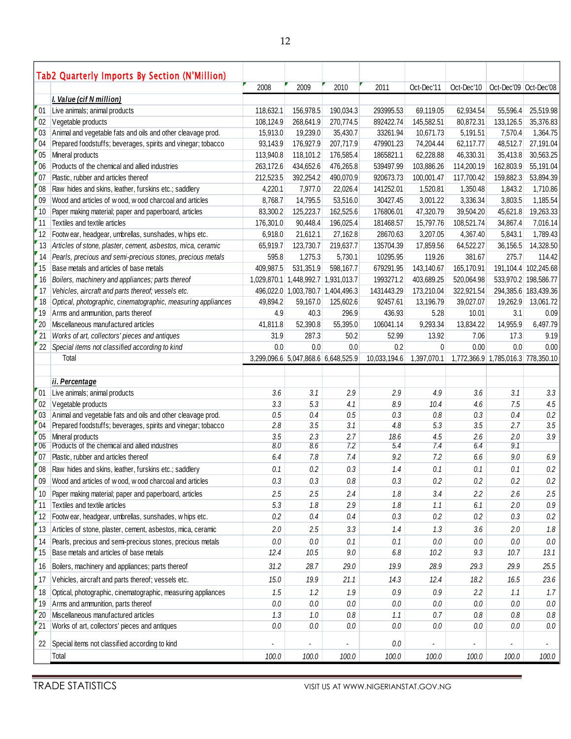|                | Tab2 Quarterly Imports By Section (N'Million)                |             |                                     |             |              |                |            |                                    |                          |
|----------------|--------------------------------------------------------------|-------------|-------------------------------------|-------------|--------------|----------------|------------|------------------------------------|--------------------------|
|                |                                                              | 2008        | 2009                                | 2010        | 2011         | Oct-Dec'11     | Oct-Dec'10 | Oct-Dec'09 Oct-Dec'08              |                          |
|                | <b>I. Value (cif N million)</b>                              |             |                                     |             |              |                |            |                                    |                          |
| 01             | Live animals; animal products                                | 118,632.1   | 156,978.5                           | 190,034.3   | 293995.53    | 69,119.05      | 62,934.54  | 55,596.4                           | 25,519.98                |
| 02             | Vegetable products                                           | 108.124.9   | 268,641.9                           | 270,774.5   | 892422.74    | 145,582.51     | 80,872.31  | 133,126.5                          | 35,376.83                |
| "03"           | Animal and vegetable fats and oils and other cleavage prod.  | 15,913.0    | 19,239.0                            | 35,430.7    | 33261.94     | 10,671.73      | 5,191.51   | 7,570.4                            | 1,364.75                 |
| 04             | Prepared foodstuffs; beverages, spirits and vinegar; tobacco | 93,143.9    | 176,927.9                           | 207,717.9   | 479901.23    | 74,204.44      | 62,117.77  | 48,512.7                           | 27,191.04                |
| 05             | Mineral products                                             | 113,940.8   | 118,101.2                           | 176,585.4   | 1865821.1    | 62,228.88      | 46,330.31  | 35,413.8                           | 30,563.25                |
| 06             | Products of the chemical and allied industries               | 263,172.6   | 434,652.6                           | 476,265.8   | 539497.99    | 103,886.26     | 114,200.19 | 162,803.9                          | 55,191.04                |
| 07             | Plastic, rubber and articles thereof                         | 212,523.5   | 392,254.2                           | 490,070.9   | 920673.73    | 100,001.47     | 117,700.42 | 159,882.3                          | 53,894.39                |
| 08             | Raw hides and skins, leather, furskins etc.; saddlery        | 4,220.1     | 7,977.0                             | 22,026.4    | 141252.01    | 1,520.81       | 1,350.48   | 1,843.2                            | 1,710.86                 |
| 09             | Wood and articles of wood, wood charcoal and articles        | 8,768.7     | 14,795.5                            | 53,516.0    | 30427.45     | 3,001.22       | 3,336.34   | 3,803.5                            | 1,185.54                 |
| 10             | Paper making material; paper and paperboard, articles        | 83,300.2    | 125,223.7                           | 162,525.6   | 176806.01    | 47,320.79      | 39,504.20  | 45,621.8                           | 19,263.33                |
| 11             | Textiles and textile articles                                | 176,301.0   | 90,448.4                            | 196,025.4   | 181468.57    | 15,797.76      | 108,521.74 | 34,867.4                           | 7,016.14                 |
| 12             | Footwear, headgear, umbrellas, sunshades, whips etc.         | 6,918.0     | 21,612.1                            | 27,162.8    | 28670.63     | 3,207.05       | 4,367.40   | 5,843.1                            | 1,789.43                 |
| 13             | Articles of stone, plaster, cement, asbestos, mica, ceramic  | 65,919.7    | 123,730.7                           | 219,637.7   | 135704.39    | 17,859.56      | 64,522.27  | 36,156.5                           | 14,328.50                |
| 14             | Pearls, precious and semi-precious stones, precious metals   | 595.8       | 1,275.3                             | 5,730.1     | 10295.95     | 119.26         | 381.67     | 275.7                              | 114.42                   |
| 15             | Base metals and articles of base metals                      | 409,987.5   | 531,351.9                           | 598,167.7   | 679291.95    | 143,140.67     | 165,170.91 |                                    | 191,104.4 102,245.68     |
| 16             | Boilers, machinery and appliances; parts thereof             | 1,029,870.1 | 1,448,992.7                         | 1,931,013.7 | 1993271.2    | 403,689.25     | 520,064.98 |                                    | 533,970.2 198,586.77     |
| 17             | Vehicles, aircraft and parts thereof; vessels etc.           |             | 496,022.0 1,003,780.7 1,404,496.3   |             | 1431443.29   | 173,210.04     | 322,921.54 |                                    | 294,385.6 183,439.36     |
| 18             | Optical, photographic, cinematographic, measuring appliances | 49.894.2    | 59,167.0                            | 125,602.6   | 92457.61     | 13,196.79      | 39,027.07  | 19,262.9                           | 13,061.72                |
| 19             | Arms and ammunition, parts thereof                           | 4.9         | 40.3                                | 296.9       | 436.93       | 5.28           | 10.01      | 3.1                                | 0.09                     |
| 20             | Miscellaneous manufactured articles                          | 41.811.8    | 52,390.8                            | 55,395.0    | 106041.14    | 9,293.34       | 13,834.22  | 14,955.9                           | 6,497.79                 |
| 21             | Works of art, collectors' pieces and antiques                | 31.9        | 287.3                               | 50.2        | 52.99        | 13.92          | 7.06       | 17.3                               | 9.19                     |
| 22             | Special items not classified according to kind               | 0.0         | 0.0                                 | 0.0         | 0.2          | $\overline{0}$ | 0.00       | 0.0                                | 0.00                     |
|                | Total                                                        |             | 3,299,096.6 5,047,868.6 6,648,525.9 |             | 10,033,194.6 | 1,397,070.1    |            | 1,772,366.9 1,785,016.3 778,350.10 |                          |
|                | ii. Percentage                                               |             |                                     |             |              |                |            |                                    |                          |
| 01             | Live animals; animal products                                | 3.6         | 3.1                                 | 2.9         | 2.9          | 4.9            | 3.6        | 3.1                                | 3.3                      |
| 02             | Vegetable products                                           | 3.3         | 5.3                                 | 4.1         | 8.9          | 10.4           | 4.6        | 7.5                                | 4.5                      |
| $^{\prime}$ 03 | Animal and vegetable fats and oils and other cleavage prod.  | 0.5         | 0.4                                 | $0.5\,$     | 0.3          | $0.8\,$        | 0.3        | 0.4                                | $0.2\,$                  |
| 04             | Prepared foodstuffs; beverages, spirits and vinegar; tobacco | 2.8         | 3.5                                 | 3.1         | 4.8          | 5.3            | 3.5        | 2.7                                | 3.5                      |
| 05             | Mineral products                                             | 3.5         | 2.3                                 | 2.7         | 18.6         | 4.5            | 2.6        | 2.0                                | 3.9                      |
| $-06$          | Products of the chemical and allied industries               | 8.0         | 8.6                                 | 7.2         | 5.4          | 7.4            | 6.4        | 9.1                                |                          |
| 07             | Plastic, rubber and articles thereof                         | 6.4         | $7.8$                               | 7.4         | 9.2          | 7.2            | $6.6\,$    | 9.0                                | 6.9                      |
| 08             | Raw hides and skins, leather, furskins etc.; saddlery        | 0.1         | 0.2                                 | 0.3         | 1.4          | 0.1            | 0.1        | 0.1                                | $0.2\,$                  |
| 09             | Wood and articles of wood, wood charcoal and articles        | $0.3\,$     | $0.3\,$                             | $0.8\,$     | $0.3\,$      | 0.2            | 0.2        | $0.2\,$                            | 0.2                      |
| 10             | Paper making material; paper and paperboard, articles        | 2.5         | 2.5                                 | 2.4         | 1.8          | 3.4            | 2.2        | 2.6                                | 2.5                      |
| 11             | Textiles and textile articles                                | 5.3         | 1.8                                 | 2.9         | $1.8\,$      | 1.1            | 6.1        | 2.0                                | $0.9\,$                  |
| 12             | Footwear, headgear, umbrellas, sunshades, whips etc.         | $0.2\,$     | 0.4                                 | 0.4         | $0.3\,$      | $0.2\,$        | 0.2        | 0.3                                | $0.2\,$                  |
| 13             | Articles of stone, plaster, cement, asbestos, mica, ceramic  | 2.0         | 2.5                                 | 3.3         | 1.4          | 1.3            | 3.6        | 2.0                                | $1.8$                    |
| 14             | Pearls, precious and semi-precious stones, precious metals   | 0.0         | 0.0                                 | 0.1         | 0.1          | 0.0            | 0.0        | 0.0                                | $0.0\,$                  |
| 15             | Base metals and articles of base metals                      | 12.4        | 10.5                                | 9.0         | 6.8          | 10.2           | 9.3        | 10.7                               | 13.1                     |
|                |                                                              |             |                                     |             |              |                |            |                                    |                          |
| 16             | Boilers, machinery and appliances; parts thereof             | 31.2        | 28.7                                | 29.0        | 19.9         | 28.9           | 29.3       | 29.9                               | 25.5                     |
| 17             | Vehicles, aircraft and parts thereof; vessels etc.           | 15.0        | 19.9                                | 21.1        | 14.3         | 12.4           | 18.2       | 16.5                               | 23.6                     |
| 18             | Optical, photographic, cinematographic, measuring appliances | 1.5         | 1.2                                 | 1.9         | $0.9\,$      | 0.9            | 2.2        | 1.1                                | 1.7                      |
| 19             | Arms and ammunition, parts thereof                           | $0.0\,$     | 0.0                                 | $0.0\,$     | 0.0          | 0.0            | 0.0        | 0.0                                | $0.0\,$                  |
| 20             | Miscellaneous manufactured articles                          | 1.3         | 1.0                                 | $0.8\,$     | 1.1          | 0.7            | 0.8        | 0.8                                | $0.8\,$                  |
| 21             | Works of art, collectors' pieces and antiques                | 0.0         | 0.0                                 | 0.0         | $0.0\,$      | 0.0            | 0.0        | 0.0                                | 0.0                      |
| 22             | Special items not classified according to kind               |             |                                     | ٠           | 0.0          |                | ۰          | ٠                                  | $\overline{\phantom{a}}$ |
|                | Total                                                        | 100.0       | 100.0                               | 100.0       | 100.0        | 100.0          | 100.0      | 100.0                              | 100.0                    |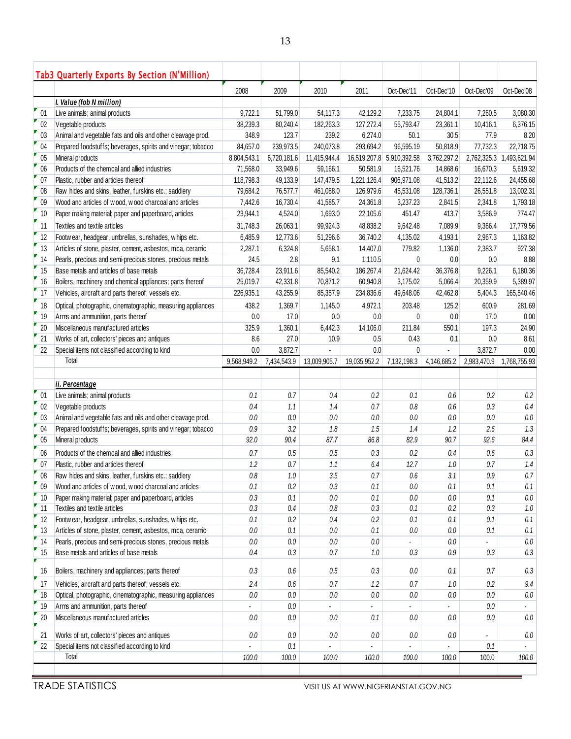| Oct-Dec'11<br>Oct-Dec'10<br>2008<br>2009<br>2010<br>2011<br>I. Value (fob N million)                                                           | Oct-Dec'09<br>Oct-Dec'08    |
|------------------------------------------------------------------------------------------------------------------------------------------------|-----------------------------|
|                                                                                                                                                |                             |
|                                                                                                                                                |                             |
| 01<br>Live animals; animal products<br>51,799.0<br>9,722.1<br>54,117.3<br>42,129.2<br>7,233.75<br>24,804.1                                     | 7,260.5<br>3,080.30         |
| 02<br>Vegetable products<br>80,240.4<br>127,272.4<br>38.239.3<br>182,263.3<br>55,793.47<br>23,361.1                                            | 6,376.15<br>10.416.1        |
| Animal and vegetable fats and oils and other cleavage prod.<br>03<br>123.7<br>239.2<br>6,274.0<br>348.9<br>50.1<br>30.5                        | 8.20<br>77.9                |
| 04<br>Prepared foodstuffs; beverages, spirits and vinegar; tobacco<br>84,657.0<br>239,973.5<br>240,073.8<br>293,694.2<br>96,595.19<br>50,818.9 | 22,718.75<br>77,732.3       |
| 05<br>Mineral products<br>6,720,181.6<br>11,415,944.4<br>16,519,207.8 5,910,392.58<br>3,762,297.2<br>8,804,543.1                               | 2,762,325.3<br>1,493,621.94 |
| 06<br>Products of the chemical and allied industries<br>33,949.6<br>59,166.1<br>50,581.9<br>16,521.76<br>14,868.6<br>71,568.0                  | 16,670.3<br>5,619.32        |
| 07<br>Plastic, rubber and articles thereof<br>118,798.3<br>49,133.9<br>147,479.5<br>1,221,126.4<br>906,971.08<br>41,513.2                      | 24,455.68<br>22,112.6       |
| 08<br>Raw hides and skins, leather, furskins etc.; saddlery<br>79,684.2<br>76,577.7<br>461,088.0<br>126,979.6<br>45,531.08<br>128,736.1        | 26,551.8<br>13,002.31       |
| 09<br>Wood and articles of wood, wood charcoal and articles<br>7,442.6<br>16,730.4<br>41,585.7<br>24,361.8<br>3,237.23<br>2,841.5              | 2,341.8<br>1,793.18         |
| 10<br>23,944.1<br>1,693.0<br>22,105.6<br>451.47<br>413.7<br>Paper making material; paper and paperboard, articles<br>4,524.0                   | 3,586.9<br>774.47           |
| Textiles and textile articles<br>11<br>31,748.3<br>26,063.1<br>99,924.3<br>48,838.2<br>9,642.48<br>7,089.9                                     | 9,366.4<br>17,779.56        |
| 12<br>Footwear, headgear, umbrellas, sunshades, whips etc.<br>6,485.9<br>12,773.6<br>51,296.6<br>36,740.2<br>4,135.02<br>4,193.1               | 2,967.3<br>1,163.82         |
| 13<br>Articles of stone, plaster, cement, asbestos, mica, ceramic<br>2,287.1<br>6,324.8<br>5,658.1<br>14,407.0<br>779.82<br>1,136.0            | 927.38<br>2,383.7           |
| 2.8<br>14<br>Pearls, precious and semi-precious stones, precious metals<br>24.5<br>9.1<br>1,110.5<br>$\mathbf{0}$<br>0.0                       | 8.88<br>0.0                 |
| Base metals and articles of base metals<br>15<br>36,728.4<br>23,911.6<br>85,540.2<br>186,267.4<br>21,624.42<br>36,376.8                        | 9,226.1<br>6,180.36         |
| 16<br>Boilers, machinery and chemical appliances; parts thereof<br>42,331.8<br>70,871.2<br>60,940.8<br>5,066.4<br>25,019.7<br>3,175.02         | 5,389.97<br>20,359.9        |
| 17<br>Vehicles, aircraft and parts thereof; vessels etc.<br>226,935.1<br>43,255.9<br>85,357.9<br>234,836.6<br>49,648.06<br>42,462.8            | 165,540.46<br>5,404.3       |
| 438.2<br>1,369.7<br>1,145.0<br>4,972.1<br>203.48<br>125.2<br>18<br>Optical, photographic, cinematographic, measuring appliances                | 600.9<br>281.69             |
| 19<br>Arms and ammunition, parts thereof<br>0.0<br>17.0<br>0.0<br>$\mathbf{0}$<br>0.0<br>0.0                                                   | 17.0<br>0.00                |
| 20<br>Miscellaneous manufactured articles<br>1,360.1<br>6,442.3<br>14,106.0<br>211.84<br>550.1<br>325.9                                        | 197.3<br>24.90              |
| 21<br>Works of art, collectors' pieces and antiques<br>8.6<br>27.0<br>0.43<br>10.9<br>0.5<br>0.1                                               | 8.61<br>0.0                 |
| 0.0<br>Special items not classified according to kind<br>0.0<br>3,872.7<br>$\mathbf{0}$<br>22                                                  | 3,872.7<br>0.00             |
| Total<br>9,568,949.2<br>7,434,543.9<br>13,009,905.7<br>19,035,952.2<br>7,132,198.3<br>4,146,685.2                                              | 1,768,755.93<br>2,983,470.9 |
| ii. Percentage                                                                                                                                 |                             |
| 01<br>0.1<br>0.7<br>$0.2\,$<br>0.1<br>Live animals; animal products<br>0.4<br>$0.6\,$                                                          | $0.2\,$<br>$0.2\,$          |
| 02<br>0.4<br>1.4<br>0.7<br>Vegetable products<br>1.1<br>$0.8\,$<br>0.6                                                                         | 0.4<br>0.3                  |
| Animal and vegetable fats and oils and other cleavage prod.<br>$0.0\,$<br>03<br>$0.0\,$<br>$0.0\,$<br>$0.0\,$<br>$0.0\,$<br>0.0                | $0.0\,$<br>$0.0\,$          |
| 0.9<br>3.2<br>1.8<br>1.5<br>04<br>Prepared foodstuffs; beverages, spirits and vinegar; tobacco<br>1.4<br>1.2                                   | 2.6<br>1.3                  |
| 87.7<br>05<br>92.0<br>90.4<br>86.8<br>82.9<br>90.7<br>Mineral products                                                                         | 84.4<br>92.6                |
| 06<br>Products of the chemical and allied industries<br>0.7<br>0.5<br>0.5<br>0.3<br>0.2<br>0.4                                                 | 0.3<br>0.6                  |
| 07<br>0.7<br>12.7<br>Plastic, rubber and articles thereof<br>1.2<br>6.4<br>1.1<br>1.0                                                          | 0.7<br>1.4                  |
| 3.5<br>08<br>Raw hides and skins, leather, furskins etc.; saddlery<br>0.8<br>$1.0$<br>0.7<br>0.6<br>3.1                                        | $0.7\,$<br>$0.9\,$          |
| 09<br>Wood and articles of wood, wood charcoal and articles<br>0.1<br>0.2<br>0.3<br>0.1<br>0.0<br>0.1                                          | $0.1\,$<br>0.1              |
| 10<br>0.3<br>0.1<br>$0.0\,$<br>0.1<br>$0.0\,$<br>Paper making material; paper and paperboard, articles<br>0.0                                  | $0.0\,$<br>0.1              |
| Textiles and textile articles<br>11<br>$0.3\,$<br>$0.4\,$<br>$0.8\,$<br>$0.3\,$<br>0.1<br>$0.2\,$                                              | $0.3\,$<br>$1.0\,$          |
| Footw ear, headgear, umbrellas, sunshades, whips etc.<br>12<br>0.1<br>$0.2\,$<br>$0.4\,$<br>$0.2\,$<br>0.1<br>0.1                              | 0.1<br>0.1                  |
| 13<br>Articles of stone, plaster, cement, asbestos, mica, ceramic<br>$0.0\,$<br>0.1<br>$0.0\,$<br>0.1<br>0.0<br>0.0                            | 0.1<br>0.1                  |
| 14<br>Pearls, precious and semi-precious stones, precious metals<br>$0.0\,$<br>0.0<br>0.0<br>0.0<br>0.0                                        | $0.0\,$                     |
| Base metals and articles of base metals<br>0.4<br>0.7<br>$1.0\,$<br>0.3<br>15<br>0.3<br>0.9                                                    | $0.3\,$<br>$0.3\,$          |
| $0.6\,$<br>$0.5\,$<br>16<br>Boilers, machinery and appliances; parts thereof<br>0.3<br>0.3<br>0.0<br>0.1                                       | 0.7<br>0.3                  |
| Vehicles, aircraft and parts thereof; vessels etc.<br>2.4<br>$0.6\,$<br>0.7<br>1.2<br>0.7<br>17<br>1.0                                         | 9.4<br>0.2                  |
| Optical, photographic, cinematographic, measuring appliances<br>$0.0\,$<br>$0.0\,$<br>$0.0\,$<br>$0.0\,$<br>18<br>0.0<br>0.0                   | $0.0\,$<br>$0.0\,$          |
| Arms and ammunition, parts thereof<br>19<br>0.0<br>ä,<br>٠                                                                                     | $0.0\,$<br>÷.               |
| Miscellaneous manufactured articles<br>$0.0\,$<br>20<br>0.0<br>0.0<br>0.1<br>0.0<br>0.0                                                        | $0.0\,$<br>$0.0\,$          |
|                                                                                                                                                |                             |
| 21<br>Works of art, collectors' pieces and antiques<br>0.0<br>0.0<br>0.0<br>0.0<br>0.0<br>0.0                                                  | $0.0\,$                     |
|                                                                                                                                                |                             |
| Special items not classified according to kind<br>0.1<br>22<br>Total<br>100.0<br>100.0<br>100.0<br>100.0<br>100.0<br>100.0                     | 0.1<br>100.0<br>100.0       |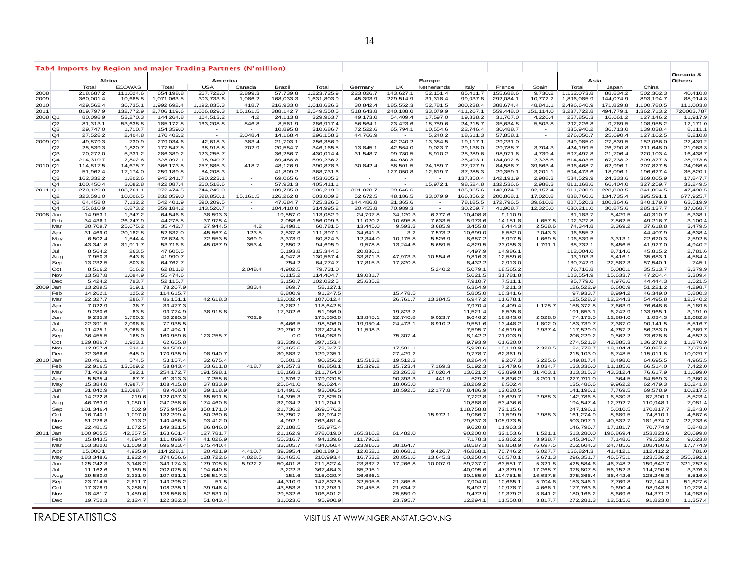|         | Tab4 Imports by Region and major Trading Partners (N'million) |                       |                      |                        |                       |                                   |                      |                        |                       |                      |                      |                      |                      |                     |                        |                      |                        |                            |
|---------|---------------------------------------------------------------|-----------------------|----------------------|------------------------|-----------------------|-----------------------------------|----------------------|------------------------|-----------------------|----------------------|----------------------|----------------------|----------------------|---------------------|------------------------|----------------------|------------------------|----------------------------|
|         |                                                               | Africa                |                      |                        | America               |                                   |                      |                        |                       |                      | Europe               |                      |                      |                     | Asia                   |                      |                        | Oceania &<br><b>Others</b> |
|         |                                                               | Total                 | <b>ECOWAS</b>        | Total                  | <b>USA</b>            | Canada                            | Brazil               | Total                  | Germany               | UK                   | Netherlands          | Italy                | France               | Spain               | Total                  | Japan                | China                  |                            |
| 2008    |                                                               | 218,687.2             | 111,024.6            | 654,198.8              | 267,722.0             | 2,899.3                           | 57,739.8             | 1,223,725.9            | 223,026.7             | 143,627.1            | 52,151.4             | 85,411.7             | 155,688.6            | 9,730.2             | 1,162,073.8            | 88,834.2             | 502,302.3              | 40,410.8                   |
| 2009    |                                                               | 360,001.4             | 10,685.5             | 1,071,063.5            | 303,733.6             | 1,086.2                           | 168,033.3            | 1,631,803.0            | 45,393.9              | 229,514.9            | 31,318.4             | 99,037.8             | 292,084.1            | 10,772.2            | 1,896,085.9            | 144,074.9            | 893,194.7              | 88,914.8                   |
| 2010    |                                                               | 429,562.4             | 36,735.1             | 1,992,692.4            | 1,192,835.3           | 418.7                             | 216,933.0            | 1,618,626.3            | 30,842.4              | 185,552.3            | 52,781.5             | 300,238.4            | 388,674.4            | 48,841.1            | 2,496,640.9            | 171,829.8            | 1,100,780.5            | 111,003.8                  |
| 2011    |                                                               | 819,797.9             | 132,772.9            | 2,706,119.6            | 1,606,829.3           | 15,161.5                          | 388,142.7            | 2,549,550.5            | 518,643.8             | 240,188.0            | 33,079.9             | 411,267.1            | 559,448.0            | 151,114.0           | 3,237,722.8            | 494,779.1            | 1,362,713.2            | 720003.787                 |
| 2008 Q1 |                                                               | 80,098.9              | 53,270.3<br>53,638.8 | 144,264.8<br>185,172.8 | 104,513.2             | 4.2                               | 24,113.8             | 329,963.7              | 49,173.0              | 54,409.4             | 17,597.0<br>18,759.6 | 19,838.2             | 31,707.0<br>35,634.8 | 4,226.4             | 257,856.3<br>292,226.8 | 16,661.2<br>9,769.5  | 127,146.2              | 11,917.9                   |
|         | Q2<br>Q3                                                      | 81,313.1<br>29,747.0  | 1,710.7              | 154,359.0              | 163,208.8             | 846.8<br>$\overline{\phantom{a}}$ | 8,561.9<br>10,895.8  | 286,917.4<br>310,686.7 | 56,564.1<br>72,522.6  | 23,423.6<br>65,794.1 | 10,554.6             | 24,215.7<br>22,746.4 | 30,488.7             | 5,503.8             | 335,940.2              | 36,713.0             | 108,955.2<br>139,038.4 | 12,171.0<br>8,111.1        |
|         | Q4                                                            | 27,528.2              | 2,404.8              | 170,402.2              |                       | 2,048.4                           | 14,168.4             | 296,158.3              | 44,766.9              |                      | 5,240.2              | 18,611.3             | 57,858.1             | $\sim$              | 276,050.7              | 25,690.4             | 127,162.5              | 8,210.8                    |
| 2009 Q1 |                                                               | 49,879.3              | 730.9                | 279,034.6              | 42,618.3              | 383.4                             | 21,703.1             | 256,386.9              | $\sim$                | 42,240.2             | 13,384.5             | 19,117.1             | 29,231.0             |                     | 349,985.0              | 27,839.5             | 152,066.0              | 22,439.2                   |
|         | Q2                                                            | 25,539.3              | 1,820.7              | 177,547.5              | 38,918.8              | 702.9                             | 20,584.7             | 346,165.5              | 13,845.1              | 42,564.0             | 9,023.7              | 29,138.0             | 29,788.7             | 3,704.3             | 424,199.5              | 26,790.8             | 211,648.0              | 21,063.3                   |
|         | Q <sub>3</sub>                                                | 70,272.0              | 5,331.2              | 286,389.2              | 123,255.7             | $\sim$                            | 36,256.7             | 430,014.4              | 31,548.7              | 99,780.5             | 8,910.2              | 25,289.6             | 98,971.6             | 4,739.4             | 507,497.8              | 21,706.4             | 220,103.4              | 16,438.7                   |
|         | Q <sub>4</sub>                                                | 214,310.7             | 2,802.6              | 328,092.1              | 98,940.7              | $\sim$                            | 89,488.8             | 599,236.2              |                       | 44,930.3             |                      | 25,493.1             | 134,092.8            | 2,328.5             | 614,403.6              | 67,738.2             | 309,377.3              | 28,973.6                   |
| 2010 Q1 |                                                               | 114,817.5             | 14,675.7             | 366,173.5              | 257,885.3             | 418.7                             | 48,126.9             | 390,878.3              | 30,842.4              | 58,501.5             | 24,189.7             | 27,077.9             | 84,586.7             | 39,663.4            | 596,468.7              | 62,996.1             | 207,827.5              | 24,086.6                   |
|         | Q2                                                            | 51,962.4              | 17,174.0             | 259,189.8              | 84,208.3              | $\blacksquare$                    | 41,809.2             | 368,731.6              | $\blacksquare$        | 127,050.8            | 12,619.7             | 37,285.3             | 29,359.1             | 3,201.1             | 504,473.6              | 18,096.1             | 196,627.4              | 35,820.                    |
|         | Q <sub>3</sub>                                                | 162,332.2             | 1,802.6              | 945,241.7              | 590,223.1             | $\sim$                            | 69,065.6             | 453,605.3              |                       |                      | $\sim$               | 137,350.4            | 142,191.9            | 2,988.3             | 584,529.9              | 24,333.6             | 369,065.9              | 17,847.7                   |
|         | Q <sub>4</sub>                                                | 100,450.4             | 3,082.8              | 422,087.4              | 260,518.6             | $\overline{\phantom{a}}$          | 57,931.3             | 405,411.1              | $\sim$                | $\sim$               | 15,972.1             | 98,524.8             | 132,536.6            | 2,988.3             | 811,168.6              | 66,404.0             | 327,259.7              | 33,249.5                   |
| 2011 Q1 |                                                               | 270,129.0             | 108,761.1            | 972,474.5              | 744,249.0             | $\sim$                            | 109,785.3            | 906,219.0              | 301,028.7             | 99,646.6             |                      | 135,965.6            | 143,874.7            | 82,157.4            | 911,230.9              | 228,803.5            | 341,804.5              | 47,498.5                   |
|         | Q2                                                            | 323,591.0             | 10,006.5             | 832,059.0              | 328,850.1             | 15,161.5                          | 126,262.8            | 603,009.8              | 52,672.5              | 48,186.5             | 33,079.9             | 166,856.2            | 200,868.1            | 17,020.8            | 888,760.6              | 134,735.4            | 395,591.1              | 677,925.7                  |
|         | Q <sub>3</sub>                                                | 64,458.0              | 7,132.2              | 542,401.9              | 390,209.5             | $\sim$                            | 47,684.7             | 725,326.5              | 144,486.8             | 21,365.6             | $\sim$               | 78,185.5             | 172,796.5            | 39,610.8            | 807,520.3              | 100,364.6            | 340,179.8              | 63,519.9                   |
|         | Q4                                                            | 55,610.9              | 6,873.2              | 359,184.2              | 143,520.7             | $\sim$                            | 104,410.0            | 314,995.2              | 20,455.8              | 70,989.3             | $\sim$               | 30,259.7             | 41,908.7             | 12,325.0            | 630,211.0              | 30,875.6             | 285, 137.7             | 37,068.7                   |
|         | 2008 Jan                                                      | 14,953.1              | 1,347.2              | 64,546.6               | 38,593.3              |                                   | 19,557.0             | 113,082.9              | 24,707.8              | 34,120.3             | 6,277.6              | 10,408.8             | 9,110.9              |                     | 81,183.7               | 5,429.5              | 40,310.7               | 5,338.1                    |
|         | Feb                                                           | 34,436.1              | 26,247.9             | 44,275.5               | 37,975.4              |                                   | 2,058.6              | 156,099.3              | 11,020.2              | 10,695.8             | 7,633.5              | 5,973.6              | 14,151.8             | 1,657.8             | 102,327.8              | 7,862.5              | 49,216.7               | 3,100.4                    |
|         | Mar                                                           | 30,709.7              | 25,675.2             | 35,442.7               | 27,944.5              | 4.2                               | 2,498.1              | 60,781.5               | 13,445.0              | 9,593.3              | 3,685.9              | 3,455.8              | 8,444.3              | 2,568.6             | 74,344.8               | 3,369.2              | 37,618.8               | 3,479.5                    |
|         | Apr                                                           | 31,469.0              | 20,182.8             | 52,832.0               | 45,567.4              | 123.5                             | 2,537.8              | 111,397.1              | 34,641.3              | 3.2                  | 7,573.2              | 10,699.0             | 6,582.0              | 2,043.3             | 96,655.2               |                      | 44,407.9               | 4,638.4                    |
|         | May                                                           | 6,502.4<br>43,341.8   | 1,544.4<br>31,911.7  | 78,624.3<br>53,716.6   | 72,553.5<br>45,087.9  | 369.9<br>353.4                    | 3,373.9<br>2,650.2   | 80,824.3<br>94,695.9   | 12,344.0<br>9,578.8   | 10,175.8<br>13,244.6 | 5,526.9<br>5,659.5   | 8,687.2<br>4,829.5   | 5,997.5<br>23,055.3  | 1,669.5<br>1,791.1  | 106,839.5<br>88,732.1  | 3,313.1<br>6,456.5   | 22,620.3<br>41,927.0   | 2,592.5<br>4,940.2         |
|         | Jun<br>Jul                                                    | 8,564.2               | 263.5                | 47,605.5               |                       |                                   | 5,193.8              | 115,344.6              | 20,836.1              |                      |                      | 4,497.9              | 14,986.1             |                     | 112,004.0              | 8,714.6              | 45,815.2               | 2,781.6                    |
|         | Aug                                                           | 7,950.3               | 643.6                | 41,990.7               |                       |                                   | 4,947.8              | 130,567.4              | 33,871.3              | 47,973.3             | 10,554.6             | 9,816.3              | 12,589.6             |                     | 93,193.3               | 5,416.1              | 35,683.1               | 4,584.4                    |
|         | Sep                                                           | 13,232.5              | 803.6                | 64,762.7               |                       |                                   | 754.2                | 64,774.7               | 17,815.3              | 17,820.8             |                      | 8,432.2              | 2,913.0              |                     | 130,742.9              | 22,582.3             | 57,540.1               | 745.                       |
|         | Oct                                                           | 8,516.2               | 516.2                | 62,811.8               |                       | 2.048.4                           | 4,902.5              | 79,731.0               |                       |                      | 5,240.2              | 5,079.1              | 18,565.2             |                     | 76,716.8               | 5,080.1              | 35,513.7               | 3,379.9                    |
|         | Nov                                                           | 13,587.8              | 1,094.9              | 55,474.6               |                       |                                   | 6,115.2              | 114,404.7              | 19,081.7              |                      |                      | 5,621.5              | 31,781.8             |                     | 103,554.9              | 15,633.7             | 47,204.4               | 3,309.4                    |
|         | Dec                                                           | 5,424.2               | 793.7                | 52,115.7               |                       |                                   | 3,150.7              | 102,022.5              | 25,685.2              |                      |                      | 7,910.7              | 7,511.1              |                     | 95,779.0               | 4,976.6              | 44,444.3               | 1,521.5                    |
|         | 2009 Jan                                                      | 13,289.5              | 319.1                | 78,267.9               |                       | 383.4                             | 869.7                | 58,127.1               |                       |                      |                      | 6,364.9              | 7,211.3              |                     | 126,522.9              | 6,600.9              | 51,221.2               | 4,298.7                    |
|         | Feb                                                           | 14,262.1              | 125.2                | 114,615.7              |                       |                                   | 8,800.9              | 91,247.5               |                       | 15,478.5             |                      | 5,805.0              | 10,341.6             |                     | 97,933.7               | 8,994.2              | 46,349.0               | 5,800.3                    |
|         | Mar                                                           | 22,327.7              | 286.7                | 86,151.1               | 42,618.3              |                                   | 12,032.4             | 107,012.4              |                       | 26,761.7             | 13,384.5             | 6,947.2              | 11,678.1             |                     | 125,528.3              | 12,244.3             | 54,495.8               | 12,340.2                   |
|         | Apr                                                           | 7,022.9               | 36.7                 | 33,477.3               |                       |                                   | 3,282.1              | 118,642.8              |                       |                      |                      | 7,970.4              | 4,409.4              | 1,175.7             | 158,372.8              | 7,663.9              | 76,648.6               | 5,189.5                    |
|         | May                                                           | 9,280.6               | 83.8                 | 93,774.9               | 38,918.8              |                                   | 17,302.6             | 51,986.0               |                       | 19,823.2             |                      | 11,521.4             | 6,535.8              |                     | 191,653.1              | 6,242.9              | 133,965.1              | 3,191.0                    |
|         | Jun                                                           | 9,235.9               | 1,700.2              | 50,295.3               |                       | 702.9                             |                      | 175,536.6              | 13,845.1              | 22,740.8             | 9,023.7              | 9,646.2              | 18,843.6             | 2,528.6             | 74,173.5               | 12,884.0             | 1,034.3                | 12,682.8                   |
|         | Jul                                                           | 22,391.5              | 2,096.6              | 77,935.5               |                       |                                   | 6,466.5              | 98,506.0               | 19,950.4              | 24,473.1             | 8,910.2              | 9,551.6              | 13,448.2             | 1,802.0             | 183,739.7              | 7,387.0              | 90,141.5               | 5,516.7                    |
|         | Aug                                                           | 11,425.1              | 3,066.6              | 47,494.1               |                       |                                   | 29,790.2             | 137,424.5              | 11,598.3              |                      |                      | 7,595.7              | 14,519.6             | 2,937.4             | 117,529.0              | 4,757.2              | 56,283.0               | 6,369.7                    |
|         | Sep<br>Oct                                                    | 36,455.5<br>129,886.7 | 168.0<br>1,923.1     | 160,959.6<br>62,655.8  | 123,255.7             |                                   | 0.0<br>33,339.6      | 194,083.9<br>397,153.4 |                       | 75,307.4             |                      | 8,142.2<br>9,793.9   | 71,003.9<br>61,620.0 |                     | 206,229.2<br>274,521.8 | 9,562.2<br>42,885.3  | 73,678.8<br>136,278.2  | 4,552.3<br>11,870.9        |
|         | Nov                                                           | 12,057.4              | 234.4                | 94,500.4               |                       |                                   | 25,465.6             | 72,347.7               |                       | 17,501.1             |                      | 5,920.6              | 10.110.9             | 2,328.5             | 124,778.7              | 18,104.4             | 58,087.4               | 7,073.0                    |
|         | Dec                                                           | 72,366.6              | 645.0                | 170,935.9              | 98,940.7              |                                   | 30,683.7             | 129,735.1              |                       | 27,429.2             |                      | 9,778.7              | 62,361.9             |                     | 215,103.0              | 6,748.5              | 115,011.8              | 10,029.7                   |
|         | 2010 Jan                                                      | 20,491.1              | 574.5                | 53, 157.4              | 32,675.4              |                                   | 5,601.3              | 90,256.2               | 15,513.2              | 19,512.3             |                      | 8,264.4              | 9,207.3              | 5,225.6             | 149,817.4              | 8,498.0              | 64,695.5               | 4,965.5                    |
|         | Feb                                                           | 22,916.5              | 13,509.2             | 58,843.4               | 33,611.8              | 418.7                             | 24,357.3             | 88,858.1               | 15,329.2              | 15,723.4             | 7,169.3              | 5,192.3              | 12,479.6             | 3,034.7             | 133,336.0              | 11,185.6             | 66,514.0               | 7,422.0                    |
|         | Mar                                                           | 71,409.9              | 592.1                | 254,172.7              | 191,598.1             |                                   | 18,168.3             | 211,764.0              |                       | 23,265.8             | 17,020.4             | 13,621.2             | 62,899.8             | 31,403.1            | 313,315.3              | 43,312.4             | 76,617.9               | 11,699.0                   |
|         | Apr                                                           | 5,535.4               | 87.7                 | 61,313.3               | 7,255.6               |                                   | 1,676.7              | 179,020.8              |                       | 90,393.3             | 441.9                | 529.2                | 8,836.2              | 3,201.1             | 227,791.0              | 364.5                | 64,569.3               | 9,360.8                    |
|         | May                                                           | 15,384.0              | 4,987.7              | 108,415.8              | 37,833.9              |                                   | 25,641.0             | 96,624.4               |                       | 18,065.0             |                      | 28,269.2             | 8,502.4              |                     | 135,486.6              | 9,962.2              | 62,479.3               | 16,241.8                   |
|         | Jun                                                           | 31,042.9              | 12,098.7             | 89,460.8               | 39,118.9              |                                   | 14,491.6             | 93,086.5               |                       | 18,592.5             | 12,177.8             | 8,486.9              | 12,020.5             |                     | 141,196.1              | 7,769.5              | 69,578.9               | 10,217.5                   |
|         | Jul                                                           | 14,222.8              | 219.6                | 122,037.3              | 65,591.5              |                                   | 14,395.3             | 72,825.0               |                       |                      |                      | 7,722.8              | 16,639.7             | 2,988.3             | 142,786.5              | 6,530.3              | 87,300.1               | 8,523.4                    |
|         | Aug                                                           | 46,763.0              | 1,080.1              | 247,258.6              | 174,460.6             |                                   | 32,934.2             | 111,204.1              |                       |                      |                      | 10,868.8             | 53,436.6             |                     | 194,547.4              | 12,792.7             | 110,948.1              | 7,081.4                    |
|         | Sep                                                           | 101,346.4             | 502.9                | 575,945.9              | 350,171.0             |                                   | 21,736.2             | 269,576.2              |                       |                      |                      | 118,758.8            | 72,115.6             |                     | 247,196.1              | 5,010.5              | 170,817.7              | 2,243.0                    |
|         | Oct                                                           | 16,740.1              | 1,097.0              | 132,299.4              | 80,260.6              |                                   | 25,750.7             | 82,974.2               |                       |                      | 15,972.1             | 9,066.7              | 11,599.9             | 2,988.3             | 161,274.9              | 8,689.5              | 74,810.1               | 4,667.6                    |
|         | Nov                                                           | 61,228.8              | 313.2                | 140,466.5              | 93,412.0              |                                   | 4,992.1              | 263,461.4              |                       |                      |                      | 79,837.3             | 108,973.5            |                     | 503,097.1              | 40,532.7             | 181,674.7              | 22,733.6                   |
|         | Dec                                                           | 22,481.5              | 1,672.5              | 149,321.5              | 86,846.0              |                                   | 27,188.5             | 58,975.4               |                       |                      |                      | 9,620.8              | 11,963.3             |                     | 146,796.7              | 17,181.7             | 70,774.9               | 5,848.3                    |
|         | 2011 Jan                                                      | 100,905.5             | 42,357.5             | 163,661.4              | 127,781.7             |                                   | 21,162.9             | 378,019.0              | 165,316.2             | 61,482.0             |                      | 90,200.0             | 32,153.6             | 1,521.1             | 513,280.0              | 196,869.4            | 153,823.6              | 20,699.8                   |
|         | Feb                                                           | 15,843.5              | 4,894.3<br>61,509.3  | 111,899.7              | 41,026.9              |                                   | 55,316.7<br>33,305.7 | 94,139.6<br>434,060.4  | 11,796.2              |                      |                      | 7,178.3<br>38,587.3  | 12,862.2             | 3,938.7             | 145,346.7              | 7,148.6              | 79,520.2               | 9,023.8                    |
|         | Mar<br>Apr                                                    | 153,380.0<br>15,000.1 | 4,935.9              | 696,913.4<br>114,228.1 | 575,440.4<br>20,421.9 | 4,410.7                           | 39,395.4             | 180,189.0              | 123,916.3<br>12,052.1 | 38,164.7<br>10,068.1 | 9,426.7              | 46,868.1             | 98,858.9<br>70,746.2 | 76,697.5<br>6,027.7 | 252,604.3<br>166,824.3 | 24,785.6<br>41,412.1 | 108,460.6<br>112,412.2 | 17,774.9<br>781.0          |
|         | May                                                           | 183,348.6             | 1,922.4              | 374,656.6              | 128,722.6             | 4,828.5                           | 36,465.6             | 210,993.4              | 16,753.2              | 20,851.6             | 13,645.3             | 60,250.4             | 66,570.1             | 5,671.3             | 296,351.7              | 46,575.1             | 123,536.2              | 355,392.                   |
|         | Jun                                                           | 125,242.3             | 3,148.2              | 343,174.3              | 179,705.6             | 5,922.2                           | 50,401.8             | 211,827.4              | 23,867.2              | 17,266.8             | 10,007.9             | 59,737.7             | 63,551.7             | 5,321.8             | 425,584.6              | 46,748.2             | 159,642.7              | 321,752.6                  |
|         | Jul                                                           | 11,162.6              | 1,189.5              | 202,075.6              | 194,640.8             |                                   | 3,222.3              | 367,464.3              | 85,295.1              |                      |                      | 40,095.6             | 47,379.9             | 17,268.7            | 378,807.8              | 56,152.3             | 114,790.5              | 3,376.3                    |
|         | Aug                                                           | 29,580.9              | 3,331.0              | 197,031.1              | 195,517.2             |                                   | 151.6                | 215,029.7              | 26,686.1              |                      |                      | 30,185.9             | 114,751.5            | 16,637.5            | 275,366.4              | 36,442.6             | 128,245.3              | 8,516.0                    |
|         | Sep                                                           | 23,714.5              | 2,611.7              | 143,295.2              | 51.5                  |                                   | 44,310.9             | 142,832.5              | 32,505.6              | 21,365.6             |                      | 7,904.0              | 10,665.1             | 5,704.6             | 153,346.1              | 7,769.8              | 97,144.1               | 51,627.6                   |
|         | Oct                                                           | 17,378.9              | 3,288.9              | 108,235.1              | 39,946.4              |                                   | 43,853.8             | 112,293.1              | 20,455.8              | 21,634.7             |                      | 8,492.7              | 10,978.7             | 4,666.1             | 177,763.6              | 9,690.4              | 98,943.5               | 10,728.4                   |
|         | Nov                                                           | 18,481.7              | 1,459.6              | 128,566.8              | 52,531.0              |                                   | 29,532.6             | 106,801.2              |                       | 25,559.0             |                      | 9,472.9              | 19,379.2             | 3,841.2             | 180,166.2              | 8,669.6              | 94,371.2               | 14,983.0                   |
|         | Dec                                                           | 19,750.3              | 2,124.7              | 122,382.3              | 51,043.4              |                                   | 31,023.6             | 95,900.9               |                       | 23,795.7             |                      | 12,294.1             | 11,550.8             | 3,817.7             | 272,281.3              | 12,515.6             | 91,823.0               | 11,357.4                   |
|         |                                                               |                       |                      |                        |                       |                                   |                      |                        |                       |                      |                      |                      |                      |                     |                        |                      |                        |                            |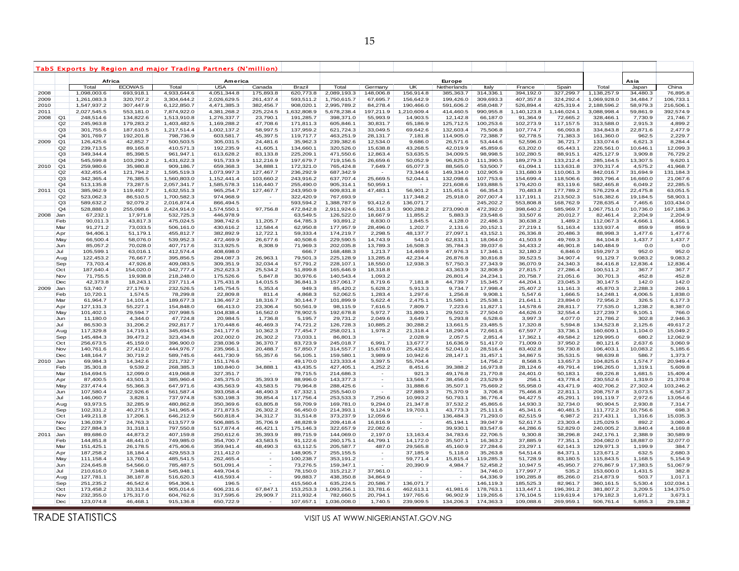|      | Tab5 Exports by Region and major Trading Partners (N'million) |                        |                        |                            |                            |                                    |                        |                        |                          |                      |                          |                       |                        |                        |                        |                     |                     |
|------|---------------------------------------------------------------|------------------------|------------------------|----------------------------|----------------------------|------------------------------------|------------------------|------------------------|--------------------------|----------------------|--------------------------|-----------------------|------------------------|------------------------|------------------------|---------------------|---------------------|
|      |                                                               | Africa                 |                        |                            | America                    |                                    |                        |                        |                          |                      | Europe                   |                       |                        |                        |                        | Asia                |                     |
|      |                                                               | Total                  | <b>ECOWAS</b>          | Total                      | <b>USA</b>                 | Canada                             | Brazil                 | Total                  | Germany                  | <b>UK</b>            | Netherlands              | Italy                 | France                 | Spain                  | Total                  | Japan               | China               |
| 2008 |                                                               | 1,098,003.6            | 693,918.1              | 4,933,644.6                | 4,051,344.8                | 175,893.8                          | 620,773.8              | 2,089,193.3            | 148,006.8                | 156,914.8            | 385,363.7                | 314,336.1             | 394,192.0              | 327,299.7              | 1,138,257.9            | 34,480.3            | 76,895.8            |
| 2009 |                                                               | 1,261,083.3            | 320,707.2              | 3,304,644.2                | 2,026,629.5                | 261,437.4                          | 593,511.2              | 1,750,615.7            | 67,695.7                 | 156,642.9            | 199,426.0                | 309,693.3             | 407,357.8              | 324,292.4              | 1,069,928.0            | 34,484.7            | 106,733.1           |
| 2010 |                                                               | 1,547,937.2            | 307,447.9              | 6,122,850.7                | 4,471,385.3                | 382,456.7                          | 908,020.1              | 2,995,789.2            | 84,278.4                 | 190,466.0            | 591,606.2                | 458,048.7             | 526,894.4              | 425,319.4              | 2,188,596.2            | 58,979.3            | 216,506.1           |
| 2011 |                                                               | 2,027,545.5            | 553,181.0              | 7,874,922.0                | 4,381,268.2                | 225,224.5                          | 1,632,808.9            | 5,678,238.4            | 197,211.9                | 1,210,609.4          | 414,460.5                | 990,955.8             | 1,140,123.8            | 1,146,024.1            | 3,088,998.4            | 59,861.9            | 392,574.9           |
| 2008 | Q1                                                            | 248,514.6              | 134,822.6              | 1,513,910.8                | 1,276,337.7                | 23,790.1                           | 191,285.7              | 398,371.0              | 55,993.9                 | 14,903.5             | 12,142.8                 | 66,187.0              | 91,364.9               | 72,665.2               | 328,466.1              | 7,730.9             | 21,746.7            |
|      | Q2<br>Q3                                                      | 245,963.8<br>301,755.6 | 179,283.2<br>187,610.5 | 1,403,482.5<br>1,217,514.4 | 1,169,288.2<br>1,002,137.2 | 47,708.6<br>58,997.5               | 171,811.3<br>137,959.2 | 605,846.1<br>621,724.3 | 30,831.7<br>33,049.5     | 65,186.9<br>69,642.6 | 125,712.5<br>132,603.4   | 100,253.6<br>75,506.8 | 102,273.9<br>107,774.7 | 117, 157.5<br>66,093.8 | 313,588.0<br>334,843.8 | 2,915.3<br>22,871.6 | 4,899.2<br>2,477.9  |
|      | Q <sub>4</sub>                                                | 301,769.7              | 192,201.8              | 798,736.9                  | 603,581.7                  | 45,397.5                           | 119,717.7              | 463,251.9              | 28,131.7                 | 7,181.8              | 114,905.0                | 72,388.7              | 92,778.5               | 71,383.3               | 161,360.0              | 962.5               | 2,229.7             |
| 2009 | Q <sub>1</sub>                                                | 126,425.6              | 42,852.7               | 500,503.5                  | 305,031.5                  | 24,481.6                           | 35,962.3               | 239,382.6              | 12,534.0                 | 9,686.0              | 26,571.6                 | 53,444.6              | 52,596.0               | 36,721.7               | 133,074.6              | 6,621.3             | 8,284.4             |
|      | Q2                                                            | 239,713.5              | 89,165.8               | 410,571.3                  | 192,235.9                  | 41,605.1                           | 134,660.1              | 320,526.0              | 15,638.8                 | 43,268.5             | 42,019.9                 | 45,859.6              | 63,202.0               | 65,443.1               | 226,561.0              | 10,646.1            | 12,099.3            |
|      | Q <sub>3</sub>                                                | 349,344.4              | 85,398.5               | 961,947.1                  | 613,628.2                  | 83,133.8                           | 225,209.1              | 471,550.6              | 12,863.4                 | 53,635.5             | 34,009.5                 | 98,998.5              | 102,280.5              | 88,915.1               | 425,127.9              | 3,909.8             | 76,729.2            |
|      | Q4                                                            | 545,599.8              | 103,290.2              | 1,431,622.3                | 915,733.9                  | 112,216.9                          | 197,679.7              | 719,156.5              | 26,659.6                 | 50,052.9             | 96,825.0                 | 111,390.5             | 189,279.3              | 133,212.4              | 285,164.5              | 13,307.5            | 9,620.1             |
| 2010 | Q <sub>1</sub>                                                | 259,980.6              | 35,980.8               | 909,186.7                  | 659,368.3                  | 34,888.1                           | 172,321.0              | 765,424.8              | 7,649.7                  | 65,077.3             | 88,565.0                 | 53,500.7              | 61,094.1               | 113,631.8              | 370,317.4              | 4,575.2             | 41,968.7            |
|      | Q2                                                            | 432,455.4              | 121,794.2              | 1,595,519.3                | 1,073,997.3                | 127,467.7                          | 236,292.9              | 687,342.9              | $\sim$                   | 73,344.6             | 149,334.0                | 102,905.9             | 131,680.9              | 110,061.3              | 842,016.7              | 31,694.9            | 131,184.3           |
|      | Q3                                                            | 342,365.4              | 76,385.5               | 1,560,803.0                | 1,152,441.4                | 103,660.2                          | 243,916.2              | 637,707.4              | 25,669.5                 | 52,044.1             | 132,098.6                | 107,753.6             | 154,699.4              | 118,506.6              | 393,796.4              | 16,660.0            | 21,067.6            |
|      | Q4                                                            | 513,135.8              | 73,287.5               | 2,057,341.7                | 1,585,578.3                | 116,440.7                          | 255,490.0              | 905,314.1              | 50,959.1                 |                      | 221,608.6                | 193,888.5             | 179,420.0              | 83,119.6               | 582,465.8              | 6,049.2             | 22,285.5            |
| 2011 | Q <sub>1</sub>                                                | 385,962.9              | 119,492.7              | 1,632,551.3                | 965,254.7                  | 127,467.7                          | 243,950.9              | 609,831.8              | 47,483.1                 | 56,901.2             | 115,451.6                | 66,354.3              | 70,483.8               | 177,789.2              | 576,229.4              | 22,475.8            | 63,051.5            |
|      | Q2                                                            | 523,062.3              | 86,510.5               | 1,700,582.3                | 974,968.9                  |                                    | 322,420.9              | 767,693.9              |                          | 117,348.2            | 25,918.0                 | 207,007.4             | 117,191.1              | 213,502.3              | 516,382.6              | 19,184.5            | 58,903.1            |
|      | Q3                                                            | 589,632.2              | 92,079.2               | 2,016,874.4                | 866,494.5                  | $\sim$                             | 593,594.2              | 1,388,787.9            | 93,412.6                 | 136,071.7            |                          | 245,202.2             | 553,808.8              | 168,762.9              | 728,635.4              | 7,465.6             | 103,434.0           |
|      | Q4                                                            | 528,888.0              | 255,098.6              | 2,424,914.0                | 1,574,550.1                | 97,756.8                           | 472,842.8              | 2,911,924.6            | 56,316.3                 | 900,288.2            | 273,090.8                | 472,392.0             | 398,640.2              | 585,969.7              | 1,067,751.0            | 10,736.0            | 167,186.3           |
| 2008 | Jan                                                           | 67,232.1               | 17,971.8               | 532,725.3                  | 446,978.9                  |                                    | 63,549.5               | 126,522.0              | 18,667.9                 | 11,855.2             | 5,883.3                  | 23,548.6              | 33,507.6               | 20,012.7               | 82,461.4               | 2,204.9             | 2,204.9             |
|      | Feb                                                           | 90,011.3               | 43,817.3               | 475,024.5                  | 398,742.6                  | 11,205.7                           | 64,785.3               | 93,891.2               | 8,830.0                  | 1,845.5              | 4,128.0                  | 22,486.3              | 30,638.2               | 1,489.2                | 112,067.3              | 4,666.1             | 4,666.1             |
|      | Mar                                                           | 91,271.2               | 73,033.5               | 506,161.0                  | 430,616.2                  | 12,584.4                           | 62,950.8               | 177,957.9              | 28,496.0                 | 1,202.7              | 2,131.6                  | 20,152.1              | 27,219.1               | 51,163.4               | 133,937.4              | 859.9               | 859.9               |
|      | Apr                                                           | 94,406.1               | 51,179.1               | 455,812.7                  | 382,892.9                  | 12,722.1                           | 59,333.4               | 174,219.7              | 2,298.5                  | 48,137.7             | 27,097.1                 | 43,152.1              | 26,336.8               | 20,486.3               | 88,998.3               | 1,477.6             | 1,477.6             |
|      | May                                                           | 66,500.4               | 58,076.0               | 539,952.3                  | 472,469.9                  | 26,677.6                           | 40,508.6               | 229,590.5              | 14,743.9                 | 541.0                | 62,831.1                 | 18,064.0              | 41,503.9               | 49,769.3               | 84,104.8               | 1,437.7             | 1,437.7             |
|      | Jun                                                           | 85,057.2               | 70,028.0               | 407,717.6                  | 313,925.5                  | 8,308.9                            | 71,969.3               | 202,035.8              | 13,789.3                 | 16,508.3             | 35,784.3                 | 39,037.6              | 34,433.2               | 46,901.8               | 140,484.9              | 0.0                 | 0.0                 |
|      | Jul                                                           | 105,599.1              | 63,016.1               | 412,574.4                  | 408,698.0                  |                                    | 666.7                  | 168,488.3              | 1,213.7                  | 14,469.9             | 47,976.3                 | 17,346.1              | 32,180.2               | 6,846.0                | 159,297.3              | 952.0               | 952.0               |
|      | Aug                                                           | 122,453.2              | 76,667.7               | 395,856.5                  | 284,087.3                  | 26,963.1                           | 79,501.3               | 225,128.9              | 13,285.8                 | 42,234.4             | 26,876.8                 | 30,816.8              | 39,523.5               | 34,907.4               | 91,129.7               | 9,083.2             | 9,083.2             |
|      | Sep<br>Oct                                                    | 73,703.4<br>187,640.4  | 47,926.8<br>154,020.0  | 409,083.5<br>342,777.4     | 309,351.9<br>252,623.3     | 32,034.4<br>25,534.2               | 57,791.2<br>51,899.8   | 228,107.1<br>165,646.9 | 18,550.0<br>18,318.8     | 12,938.3             | 57,750.3<br>43,363.9     | 27,343.9<br>32,808.9  | 36,070.9<br>27,815.7   | 24,340.3<br>27,286.4   | 84,416.8<br>100,511.2  | 12,836.4<br>367.7   | 12,836.4<br>367.7   |
|      | Nov                                                           | 71,755.5               | 19,938.8               | 218,248.0                  | 175,526.6                  | 5,847.8                            | 30,976.6               | 140,543.4              | 1,093.2                  |                      | 26,801.4                 | 24,234.1              | 20,758.7               | 21,051.6               | 30,701.3               | 452.8               | 452.8               |
|      | Dec                                                           | 42,373.8               | 18,243.1               | 237,711.4                  | 175,431.8                  | 14,015.5                           | 36,841.3               | 157,061.7              | 8,719.6                  | 7,181.8              | 44,739.7                 | 15,345.7              | 44,204.1               | 23,045.3               | 30,147.5               | 142.0               | 142.0               |
| 2009 | Jan                                                           | 53,740.7               | 27,176.9               | 232,526.5                  | 145,754.5                  | 5,353.4                            | 949.3                  | 85,420.2               | 5,628.2                  | 5,913.3              | 9,734.7                  | 17,998.4              | 25,407.2               | 11,161.3               | 45,870.3               | 2,288.3             | 269.1               |
|      | Feb                                                           | 10,720.1               | 1,574.5                | 78,299.8                   | 22,809.8                   | 811.4                              | 4,868.3                | 52,062.5               | 1,283.4                  | 1,297.6              | 1,256.8                  | 9,908.1               | 5,547.6                | 1,666.5                | 14,248.1               | 4,006.5             | 1,838.0             |
|      | Mar                                                           | 61,964.7               | 14,101.4               | 189,677.3                  | 136,467.2                  | 18,316.7                           | 30,144.7               | 101,899.9              | 5,622.4                  | 2,475.1              | 15,580.1                 | 25,538.1              | 21,641.1               | 23,894.0               | 72,956.2               | 326.5               | 6,177.3             |
|      | Apr                                                           | 127,131.3              | 55,227.1               | 154,848.0                  | 66,413.0                   | 23,306.4                           | 50,561.9               | 98,115.9               | 7,616.5                  | 7,809.7              | 7,223.6                  | 11,827.1              | 14,578.6               | 28,811.7               | 77,535.0               | 1,238.2             | 8,387.0             |
|      | May                                                           | 101,402.1              | 29,594.7               | 207,998.5                  | 104,838.4                  | 16,562.0                           | 78,902.5               | 192,678.8              | 5,972.7                  | 31,809.1             | 29,502.5                 | 27,504.0              | 44,626.0               | 32,554.4               | 127,239.7              | 9,105.1             | 766.0               |
|      | Jun                                                           | 11,180.0               | 4,344.0                | 47,724.8                   | 20,984.5                   | 1,736.8                            | 5,195.7                | 29,731.2               | 2,049.6                  | 3,649.7              | 5,293.8                  | 6,528.6               | 3,997.3                | 4,077.0                | 21,786.2               | 302.8               | 2,946.3             |
|      | Jul                                                           | 86,530.3               | 31,206.2               | 292,817.7                  | 170,448.6                  | 46,469.3                           | 74,721.2               | 126,728.3              | 10,885.2                 | 30,288.2             | 13,661.5                 | 23,485.5              | 17,320.8               | 5,594.8                | 134,523.8              | 2,125.6             | 49,617.2            |
|      | Aug                                                           | 117,329.8              | 14,719.1               | 345,694.5                  | 241,177.6                  | 10,362.3                           | 77,454.7               | 258,021.1              | 1,978.2                  | 21,318.4             | 18,290.4                 | 72,661.6              | 67,597.7               | 33,736.1               | 160,609.1              | 1,104.0             | 15,049.2            |
|      | Sep                                                           | 145,484.3              | 39,473.2               | 323,434.8                  | 202,002.0                  | 26,302.2                           | 73,033.1               | 86,801.3               |                          | 2,028.9              | 2,057.5                  | 2,851.4               | 17,362.1               | 49,584.2               | 129,995.0              | 680.2               | 12,062.9            |
|      | Oct                                                           | 256,673.5              | 45,159.0               | 396,900.0                  | 238,036.9                  | 36,370.7                           | 83,723.9               | 245,018.7              | 6,991.7                  | 13,677.7             | 16,636.9                 | 51,417.0              | 71,009.0               | 37,950.2               | 80,121.6               | 2,637.6             | 3,060.9             |
|      | Nov                                                           | 140,761.6              | 27,412.0               | 444,976.7                  | 235,966.1                  | 20,488.7                           | 57,850.7               | 314,557.7              | 15,678.0                 | 25,432.6             | 52,041.0                 | 28,516.4              | 83,402.8               | 59,730.8               | 106,403.1              | 10,083.2            | 5,185.6             |
|      | Dec                                                           | 148, 164. 7            | 30,719.2               | 589,745.6                  | 441,730.9                  | 55,357.6                           | 56,105.1               | 159,580.1              | 3,989.9                  | 10,942.6             | 28,147.1                 | 31,457.1              | 34,867.5               | 35,531.5               | 98,639.8               | 586.7               | 1,373.7             |
| 2010 | Jan                                                           | 69,984.3               | 14,342.6               | 221,732.7                  | 151,176.6                  |                                    | 49,170.0               | 123,333.4              | 3,397.5                  | 55,704.4             |                          | 14,756.2              | 8,568.5                | 13,657.3               | 104,825.6              | 1,574.7             | 20,949.4            |
|      | Feb<br>Mar                                                    | 35,301.8<br>154,694.5  | 9,539.2<br>12,099.0    | 268,385.3<br>419,068.8     | 180,840.0<br>327,351.7     | 34,888.1                           | 43,435.5<br>79,715.5   | 427,405.1<br>214,686.3 | 4,252.2                  | 8,451.6<br>921.3     | 39,388.2<br>49,176.8     | 16,973.8<br>21,770.8  | 28,124.6<br>24,401.0   | 49,791.4<br>50,183.1   | 196,265.0<br>69,226.8  | 1,319.1<br>1,681.5  | 5,609.8<br>15,409.4 |
|      | Apr                                                           | 87,400.5               | 43,501.3               | 385,960.4                  | 245,375.0                  | 35,393.9                           | 88,996.0               | 143,377.3              | $\sim$                   | 13,566.7             | 38,456.0                 | 23,529.9              | 256.1                  | 43,778.4               | 230,552.6              | 1,319.0             | 21,370.8            |
|      | May                                                           | 237,474.4              | 55,366.3               | 647,971.6                  | 435,563.9                  | 43,583.5                           | 79,964.8               | 288,425.6              | $\sim$                   | 31,888.6             | 35,507.1                 | 75,669.2              | 55,958.0               | 43,471.9               | 402,706.2              | 27,302.4            | 103,246.2           |
|      | Jun                                                           | 107,580.4              | 22,926.6               | 561,587.4                  | 393,058.4                  | 48,490.3                           | 67,332.1               | 255,540.0              |                          | 27,889.3             | 75,370.9                 | 3,706.8               | 75,466.8               | 22,811.1               | 208,757.8              | 3,073.5             | 6,567.3             |
|      | Jul                                                           | 146,060.7              | 3,828.1                | 737,974.8                  | 530,198.3                  | 39,854.4                           | 117,756.4              | 253,533.3              | 7,250.6                  | 10,993.2             | 50,793.1                 | 36,776.4              | 94,427.5               | 45,291.1               | 191,119.7              | 2,972.6             | 13,054.6            |
|      | Aug                                                           | 93,973.5               | 32,285.9               | 480,862.8                  | 350,369.6                  | 63,805.8                           | 59,709.9               | 169,781.0              | 9,294.0                  | 21,347.8             | 37,532.2                 | 45,865.6              | 14,930.3               | 32,734.0               | 90,904.5               | 2,930.8             | 7,314.7             |
|      | Sep                                                           | 102,331.2              | 40,271.5               | 341,965.4                  | 271,873.5                  | 26,302.2                           | 66,450.0               | 214,393.1              | 9,124.9                  | 19,703.1             | 43,773.3                 | 25,111.6              | 45,341.6               | 40,481.5               | 111,772.2              | 10,756.6            | 698.3               |
|      | Oct                                                           | 149,211.8              | 17,206.1               | 646,212.9                  | 560,818.4                  | 34,312.7                           | 31,514.8               | 373,237.9              | 12,059.6                 |                      | 136,484.3                | 71,293.0              | 82,515.9               | 6,987.2                | 217,431.1              | 1,316.6             | 15,035.3            |
|      | Nov                                                           | 136,039.7              | 24,763.3               | 613,577.9                  | 506,885.5                  | 35,706.9                           | 48,828.9               | 209,418.4              | 16,816.9                 |                      | 45,194.1                 | 39,047.9              | 52,617.5               | 23,303.4               | 125,029.5              | 892.2               | 3,080.4             |
|      | Dec                                                           | 227,884.3              | 31,318.1               | 797,550.8                  | 517,874.4                  | 46,421.1                           | 175,146.3              | 322,657.9              | 22,082.6                 | $\sim$               | 39,930.1                 | 83,547.6              | 44,286.6               | 52,829.0               | 240,005.2              | 3,840.4             | 4,169.8             |
| 2011 | Jan                                                           | 89,686.0               | 44,873.2               | 407,159.8                  | 250,612.6                  | 35,393.9                           | 89,715.9               | 144,069.0              | 2,197.0                  | 13,163.4             | 34,783.6                 | 22,706.5              | 9,300.8                | 38,296.8               | 242,176.1              | 2,388.9             | 30,589.9            |
|      | Feb                                                           | 144,851.8              | 48,441.0               | 749,985.0                  | 354,700.7                  | 43,583.5                           | 91,122.6               | 260,175.1              | 44,799.1                 | 14,172.0             | 35,507.1                 | 16,363.2              | 37,885.9               | 77,351.1               | 204,082.0              | 18,887.0            | 32,077.0            |
|      | Mar                                                           | 151,425.1              | 26,178.5               | 475,406.6                  | 359,941.4                  | 48,490.3                           | 63,112.5               | 205,587.7              | 487.0                    | 29,565.8             | 45,160.9                 | 27,284.6              | 23,297.1               | 62,141.3               | 129,971.3              | 1,199.9             | 384.7               |
|      | Apr                                                           | 187,258.2              | 18,184.4               | 429,553.3                  | 211,412.0                  | $\sim$                             | 148,905.7              | 255,155.5              | $\sim$                   | 37,185.9             | 5,118.0                  | 35,263.8              | 54,514.6               | 84,371.1               | 123,671.2              | 632.5               | 2,680.3             |
|      | May                                                           | 111,158.4              | 13,760.1               | 485,541.5                  | 262,465.4                  | $\sim$                             | 100,238.7              | 353,191.2              | $\overline{\phantom{a}}$ | 59,771.4             | 15,815.4                 | 119,285.3             | 51,728.9               | 83,180.5               | 115,843.5              | 1,168.5             | 5,154.9             |
|      | Jun                                                           | 224,645.8              | 54,566.0               | 785,487.5                  | 501,091.4                  | $\sim$                             | 73,276.5               | 159,347.1              | $\sim$                   | 20,390.9             | 4,984.7                  | 52,458.2              | 10,947.5               | 45,950.7               | 276,867.9              | 17,383.5<br>1,431.5 | 51,067.9            |
|      | Jul                                                           | 210,616.0              | 7,348.8                | 545,948.1<br>516,620.3     | 449,704.6                  | $\sim$<br>$\overline{\phantom{a}}$ | 78,150.0<br>99,883.7   | 315,212.7              | 37,961.0<br>34,864.9     | ٠<br>$\sim$          | $\overline{\phantom{a}}$ | 34,746.0              | 177,997.7              | 535.2                  | 153,600.0<br>214,873.9 | 503.7               | 382.8<br>1,017.1    |
|      | Aug<br>Sep                                                    | 127,781.1<br>251,235.2 | 38,187.8<br>46,542.6   | 954,306.1                  | 416,593.4<br>196.5         | $\sim$                             | 415,560.4              | 438,350.8<br>635,224.5 | 20,586.7                 | 136,071.7            |                          | 64,336.9<br>146,119.3 | 190,285.8<br>185,525.3 | 85,266.0<br>82,961.7   | 360,161.5              | 5,530.4             | 102,034.1           |
|      | Oct                                                           | 173,458.2              | 33,313.4               | 905,014.6                  | 606,231.6                  | 67,847.1                           | 153,253.3              | 1,093,256.1            | 33,781.6                 | 462,613.1            | 41,981.6                 | 178,763.1             | 113,447.1              | 196,391.2              | 381,807.2              | 3,209.5             | 134,375.0           |
|      | Nov                                                           | 232,355.0              | 175,317.0              | 604,762.6                  | 317,595.6                  | 29,909.7                           | 211,932.4              | 782,660.5              | 20,794.1                 | 197,765.6            | 96,902.9                 | 119,265.6             | 176,104.5              | 119,619.4              | 179,182.3              | 1,671.2             | 3,673.1             |
|      | Dec                                                           | 123,074.8              | 46,468.1               | 915,136.8                  | 650,722.9                  |                                    | 107,657.1              | 1,036,008.0            | 1,740.5                  | 239,909.5            | 134,206.3                | 174,363.3             | 109,088.6              | 269,959.1              | 506,761.4              | 5,855.3             | 29,138.2            |
|      |                                                               |                        |                        |                            |                            |                                    |                        |                        |                          |                      |                          |                       |                        |                        |                        |                     |                     |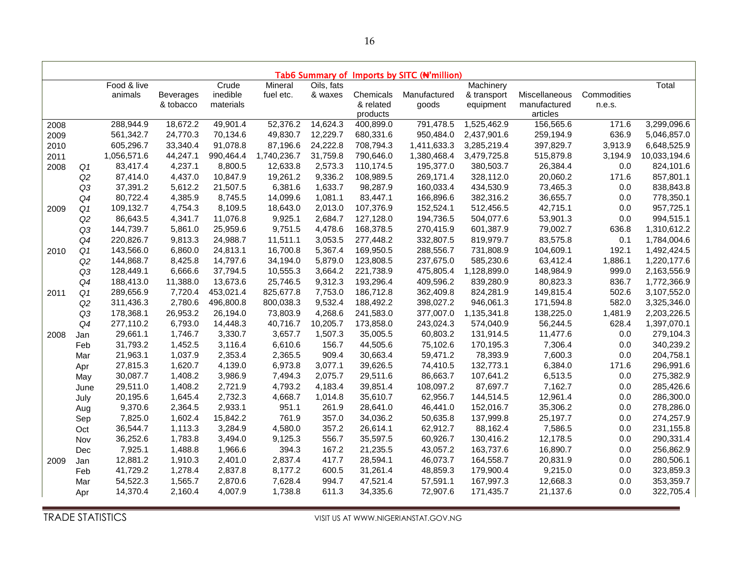|      | Tab6 Summary of Imports by SITC (N'million) |             |                  |           |             |            |           |              |             |               |             |              |
|------|---------------------------------------------|-------------|------------------|-----------|-------------|------------|-----------|--------------|-------------|---------------|-------------|--------------|
|      |                                             | Food & live |                  | Crude     | Mineral     | Oils, fats |           |              | Machinery   |               |             | Total        |
|      |                                             | animals     | <b>Beverages</b> | inedible  | fuel etc.   | & waxes    | Chemicals | Manufactured | & transport | Miscellaneous | Commodities |              |
|      |                                             |             | & tobacco        | materials |             |            | & related | goods        | equipment   | manufactured  | n.e.s.      |              |
|      |                                             |             |                  |           |             |            | products  |              |             | articles      |             |              |
| 2008 |                                             | 288,944.9   | 18,672.2         | 49,901.4  | 52,376.2    | 14,624.3   | 400,899.0 | 791,478.5    | 1,525,462.9 | 156,565.6     | 171.6       | 3,299,096.6  |
| 2009 |                                             | 561,342.7   | 24,770.3         | 70,134.6  | 49,830.7    | 12,229.7   | 680,331.6 | 950,484.0    | 2,437,901.6 | 259,194.9     | 636.9       | 5,046,857.0  |
| 2010 |                                             | 605,296.7   | 33,340.4         | 91,078.8  | 87,196.6    | 24,222.8   | 708,794.3 | 1,411,633.3  | 3,285,219.4 | 397,829.7     | 3,913.9     | 6,648,525.9  |
| 2011 |                                             | 1,056,571.6 | 44,247.1         | 990,464.4 | 1,740,236.7 | 31,759.8   | 790,646.0 | 1,380,468.4  | 3,479,725.8 | 515,879.8     | 3,194.9     | 10,033,194.6 |
| 2008 | Q1                                          | 83,417.4    | 4,237.1          | 8,800.5   | 12,633.8    | 2,573.3    | 110,174.5 | 195,377.0    | 380,503.7   | 26,384.4      | 0.0         | 824,101.6    |
|      | Q2                                          | 87,414.0    | 4,437.0          | 10,847.9  | 19,261.2    | 9,336.2    | 108,989.5 | 269,171.4    | 328,112.0   | 20,060.2      | 171.6       | 857,801.1    |
|      | Q3                                          | 37,391.2    | 5,612.2          | 21,507.5  | 6,381.6     | 1,633.7    | 98,287.9  | 160,033.4    | 434,530.9   | 73,465.3      | 0.0         | 838,843.8    |
|      | Q4                                          | 80,722.4    | 4,385.9          | 8,745.5   | 14,099.6    | 1,081.1    | 83,447.1  | 166,896.6    | 382,316.2   | 36,655.7      | 0.0         | 778,350.1    |
| 2009 | Q1                                          | 109,132.7   | 4,754.3          | 8,109.5   | 18,643.0    | 2,013.0    | 107,376.9 | 152,524.1    | 512,456.5   | 42,715.1      | 0.0         | 957,725.1    |
|      | Q2                                          | 86,643.5    | 4,341.7          | 11,076.8  | 9,925.1     | 2,684.7    | 127,128.0 | 194,736.5    | 504,077.6   | 53,901.3      | 0.0         | 994,515.1    |
|      | Q3                                          | 144,739.7   | 5,861.0          | 25,959.6  | 9,751.5     | 4,478.6    | 168,378.5 | 270,415.9    | 601,387.9   | 79,002.7      | 636.8       | 1,310,612.2  |
|      | Q4                                          | 220,826.7   | 9,813.3          | 24,988.7  | 11,511.1    | 3,053.5    | 277,448.2 | 332,807.5    | 819,979.7   | 83,575.8      | 0.1         | 1,784,004.6  |
| 2010 | Q <sub>1</sub>                              | 143,566.0   | 6,860.0          | 24,813.1  | 16,700.8    | 5,367.4    | 169,950.5 | 288,556.7    | 731,808.9   | 104,609.1     | 192.1       | 1,492,424.5  |
|      | Q2                                          | 144,868.7   | 8,425.8          | 14,797.6  | 34,194.0    | 5,879.0    | 123,808.5 | 237,675.0    | 585,230.6   | 63,412.4      | 1,886.1     | 1,220,177.6  |
|      | Q3                                          | 128,449.1   | 6,666.6          | 37,794.5  | 10,555.3    | 3,664.2    | 221,738.9 | 475,805.4    | 1,128,899.0 | 148,984.9     | 999.0       | 2,163,556.9  |
|      | Q4                                          | 188,413.0   | 11,388.0         | 13,673.6  | 25,746.5    | 9,312.3    | 193,296.4 | 409,596.2    | 839,280.9   | 80,823.3      | 836.7       | 1,772,366.9  |
| 2011 | Q <sub>1</sub>                              | 289,656.9   | 7,720.4          | 453,021.4 | 825,677.8   | 7,753.0    | 186,712.8 | 362,409.8    | 824,281.9   | 149,815.4     | 502.6       | 3,107,552.0  |
|      | Q2                                          | 311,436.3   | 2,780.6          | 496,800.8 | 800,038.3   | 9,532.4    | 188,492.2 | 398,027.2    | 946,061.3   | 171,594.8     | 582.0       | 3,325,346.0  |
|      | Q3                                          | 178,368.1   | 26,953.2         | 26,194.0  | 73,803.9    | 4,268.6    | 241,583.0 | 377,007.0    | 1,135,341.8 | 138,225.0     | 1,481.9     | 2,203,226.5  |
|      | Q4                                          | 277,110.2   | 6,793.0          | 14,448.3  | 40,716.7    | 10,205.7   | 173,858.0 | 243,024.3    | 574,040.9   | 56,244.5      | 628.4       | 1,397,070.1  |
| 2008 | Jan                                         | 29,661.1    | 1,746.7          | 3,330.7   | 3,657.7     | 1,507.3    | 35,005.5  | 60,803.2     | 131,914.5   | 11,477.6      | 0.0         | 279,104.3    |
|      | Feb                                         | 31,793.2    | 1,452.5          | 3,116.4   | 6,610.6     | 156.7      | 44,505.6  | 75,102.6     | 170,195.3   | 7,306.4       | 0.0         | 340,239.2    |
|      | Mar                                         | 21,963.1    | 1,037.9          | 2,353.4   | 2,365.5     | 909.4      | 30,663.4  | 59,471.2     | 78,393.9    | 7,600.3       | 0.0         | 204,758.1    |
|      | Apr                                         | 27,815.3    | 1,620.7          | 4,139.0   | 6,973.8     | 3,077.1    | 39,626.5  | 74,410.5     | 132,773.1   | 6,384.0       | 171.6       | 296,991.6    |
|      | May                                         | 30,087.7    | 1,408.2          | 3,986.9   | 7,494.3     | 2,075.7    | 29,511.6  | 86,663.7     | 107,641.2   | 6,513.5       | 0.0         | 275,382.9    |
|      | June                                        | 29,511.0    | 1,408.2          | 2,721.9   | 4,793.2     | 4,183.4    | 39,851.4  | 108,097.2    | 87,697.7    | 7,162.7       | 0.0         | 285,426.6    |
|      | July                                        | 20,195.6    | 1,645.4          | 2,732.3   | 4,668.7     | 1,014.8    | 35,610.7  | 62,956.7     | 144,514.5   | 12,961.4      | 0.0         | 286,300.0    |
|      | Aug                                         | 9,370.6     | 2,364.5          | 2,933.1   | 951.1       | 261.9      | 28,641.0  | 46,441.0     | 152,016.7   | 35,306.2      | 0.0         | 278,286.0    |
|      | Sep                                         | 7,825.0     | 1,602.4          | 15,842.2  | 761.9       | 357.0      | 34,036.2  | 50,635.8     | 137,999.8   | 25,197.7      | 0.0         | 274,257.9    |
|      | Oct                                         | 36,544.7    | 1,113.3          | 3,284.9   | 4,580.0     | 357.2      | 26,614.1  | 62,912.7     | 88,162.4    | 7,586.5       | 0.0         | 231,155.8    |
|      | Nov                                         | 36,252.6    | 1,783.8          | 3,494.0   | 9,125.3     | 556.7      | 35,597.5  | 60,926.7     | 130,416.2   | 12,178.5      | 0.0         | 290,331.4    |
|      | Dec                                         | 7,925.1     | 1,488.8          | 1,966.6   | 394.3       | 167.2      | 21,235.5  | 43,057.2     | 163,737.6   | 16,890.7      | 0.0         | 256,862.9    |
| 2009 | Jan                                         | 12,881.2    | 1,910.3          | 2,401.0   | 2,837.4     | 417.7      | 28,594.1  | 46,073.7     | 164,558.7   | 20,831.9      | $0.0\,$     | 280,506.1    |
|      | Feb                                         | 41,729.2    | 1,278.4          | 2,837.8   | 8,177.2     | 600.5      | 31,261.4  | 48,859.3     | 179,900.4   | 9,215.0       | 0.0         | 323,859.3    |
|      | Mar                                         | 54,522.3    | 1,565.7          | 2,870.6   | 7,628.4     | 994.7      | 47,521.4  | 57,591.1     | 167,997.3   | 12,668.3      | 0.0         | 353,359.7    |
|      | Apr                                         | 14,370.4    | 2,160.4          | 4,007.9   | 1,738.8     | 611.3      | 34,335.6  | 72,907.6     | 171,435.7   | 21,137.6      | 0.0         | 322,705.4    |

۰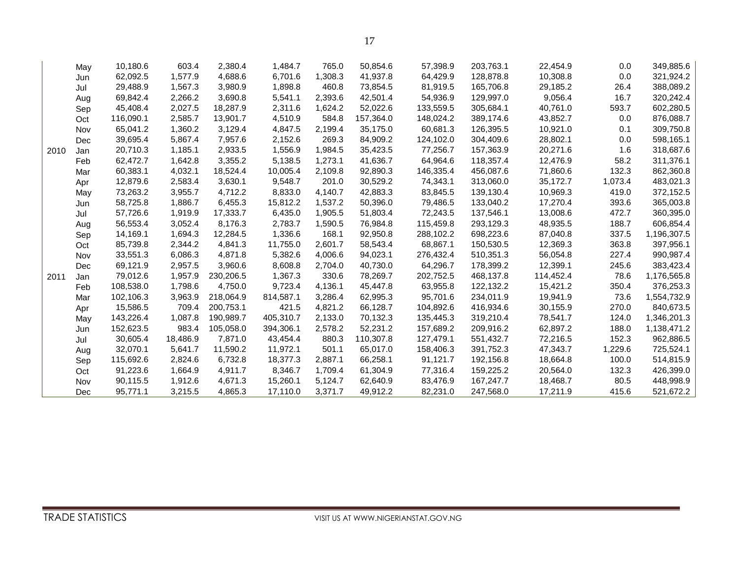۰

|      | May | 10,180.6  | 603.4    | 2,380.4   | 1,484.7   | 765.0   | 50,854.6  | 57,398.9  | 203,763.1 | 22,454.9  | 0.0     | 349,885.6   |
|------|-----|-----------|----------|-----------|-----------|---------|-----------|-----------|-----------|-----------|---------|-------------|
|      | Jun | 62,092.5  | 1,577.9  | 4,688.6   | 6,701.6   | 1,308.3 | 41,937.8  | 64,429.9  | 128,878.8 | 10,308.8  | 0.0     | 321,924.2   |
|      | Jul | 29,488.9  | 1,567.3  | 3,980.9   | 1,898.8   | 460.8   | 73,854.5  | 81,919.5  | 165,706.8 | 29,185.2  | 26.4    | 388,089.2   |
|      | Aug | 69,842.4  | 2,266.2  | 3,690.8   | 5,541.1   | 2,393.6 | 42,501.4  | 54,936.9  | 129,997.0 | 9,056.4   | 16.7    | 320,242.4   |
|      | Sep | 45,408.4  | 2,027.5  | 18,287.9  | 2,311.6   | 1,624.2 | 52,022.6  | 133,559.5 | 305,684.1 | 40,761.0  | 593.7   | 602,280.5   |
|      | Oct | 116,090.1 | 2,585.7  | 13,901.7  | 4,510.9   | 584.8   | 157,364.0 | 148,024.2 | 389,174.6 | 43,852.7  | 0.0     | 876,088.7   |
|      | Nov | 65,041.2  | 1,360.2  | 3,129.4   | 4,847.5   | 2,199.4 | 35,175.0  | 60,681.3  | 126,395.5 | 10,921.0  | 0.1     | 309,750.8   |
|      | Dec | 39,695.4  | 5,867.4  | 7,957.6   | 2,152.6   | 269.3   | 84,909.2  | 124,102.0 | 304,409.6 | 28,802.1  | 0.0     | 598,165.1   |
| 2010 | Jan | 20,710.3  | 1,185.1  | 2,933.5   | 1,556.9   | 1,984.5 | 35,423.5  | 77,256.7  | 157,363.9 | 20,271.6  | 1.6     | 318,687.6   |
|      | Feb | 62,472.7  | 1,642.8  | 3,355.2   | 5,138.5   | 1,273.1 | 41,636.7  | 64,964.6  | 118,357.4 | 12,476.9  | 58.2    | 311,376.1   |
|      | Mar | 60,383.1  | 4,032.1  | 18,524.4  | 10,005.4  | 2,109.8 | 92,890.3  | 146,335.4 | 456,087.6 | 71,860.6  | 132.3   | 862,360.8   |
|      | Apr | 12,879.6  | 2,583.4  | 3,630.1   | 9,548.7   | 201.0   | 30,529.2  | 74,343.1  | 313,060.0 | 35,172.7  | 1,073.4 | 483,021.3   |
|      | May | 73,263.2  | 3,955.7  | 4,712.2   | 8,833.0   | 4,140.7 | 42,883.3  | 83,845.5  | 139,130.4 | 10,969.3  | 419.0   | 372,152.5   |
|      | Jun | 58,725.8  | 1,886.7  | 6,455.3   | 15,812.2  | 1,537.2 | 50,396.0  | 79,486.5  | 133,040.2 | 17,270.4  | 393.6   | 365,003.8   |
|      | Jul | 57,726.6  | 1,919.9  | 17,333.7  | 6,435.0   | 1,905.5 | 51,803.4  | 72,243.5  | 137,546.1 | 13,008.6  | 472.7   | 360,395.0   |
|      | Aug | 56,553.4  | 3,052.4  | 8,176.3   | 2,783.7   | 1,590.5 | 76,984.8  | 115,459.8 | 293,129.3 | 48,935.5  | 188.7   | 606,854.4   |
|      | Sep | 14,169.1  | 1,694.3  | 12,284.5  | 1,336.6   | 168.1   | 92,950.8  | 288,102.2 | 698,223.6 | 87,040.8  | 337.5   | 1,196,307.5 |
|      | Oct | 85,739.8  | 2,344.2  | 4,841.3   | 11,755.0  | 2,601.7 | 58,543.4  | 68,867.1  | 150,530.5 | 12,369.3  | 363.8   | 397,956.1   |
|      | Nov | 33,551.3  | 6,086.3  | 4,871.8   | 5,382.6   | 4,006.6 | 94,023.1  | 276,432.4 | 510,351.3 | 56,054.8  | 227.4   | 990,987.4   |
|      | Dec | 69,121.9  | 2,957.5  | 3,960.6   | 8,608.8   | 2,704.0 | 40,730.0  | 64,296.7  | 178,399.2 | 12,399.1  | 245.6   | 383,423.4   |
| 2011 | Jan | 79,012.6  | 1,957.9  | 230,206.5 | 1,367.3   | 330.6   | 78,269.7  | 202,752.5 | 468,137.8 | 114,452.4 | 78.6    | 1,176,565.8 |
|      | Feb | 108,538.0 | 1,798.6  | 4,750.0   | 9,723.4   | 4,136.1 | 45,447.8  | 63,955.8  | 122,132.2 | 15,421.2  | 350.4   | 376,253.3   |
|      | Mar | 102,106.3 | 3,963.9  | 218,064.9 | 814,587.1 | 3,286.4 | 62,995.3  | 95,701.6  | 234,011.9 | 19,941.9  | 73.6    | 1,554,732.9 |
|      | Apr | 15,586.5  | 709.4    | 200,753.1 | 421.5     | 4,821.2 | 66,128.7  | 104,892.6 | 416,934.6 | 30,155.9  | 270.0   | 840,673.5   |
|      | May | 143,226.4 | 1,087.8  | 190,989.7 | 405,310.7 | 2,133.0 | 70,132.3  | 135,445.3 | 319,210.4 | 78,541.7  | 124.0   | 1,346,201.3 |
|      | Jun | 152,623.5 | 983.4    | 105,058.0 | 394,306.1 | 2,578.2 | 52,231.2  | 157,689.2 | 209,916.2 | 62,897.2  | 188.0   | 1,138,471.2 |
|      | Jul | 30,605.4  | 18,486.9 | 7.871.0   | 43,454.4  | 880.3   | 110,307.8 | 127.479.1 | 551,432.7 | 72,216.5  | 152.3   | 962,886.5   |
|      | Aug | 32,070.1  | 5,641.7  | 11,590.2  | 11,972.1  | 501.1   | 65,017.0  | 158,406.3 | 391,752.3 | 47,343.7  | 1,229.6 | 725,524.1   |
|      | Sep | 115,692.6 | 2,824.6  | 6,732.8   | 18,377.3  | 2,887.1 | 66,258.1  | 91,121.7  | 192,156.8 | 18,664.8  | 100.0   | 514,815.9   |
|      | Oct | 91,223.6  | 1,664.9  | 4,911.7   | 8,346.7   | 1,709.4 | 61,304.9  | 77,316.4  | 159,225.2 | 20,564.0  | 132.3   | 426,399.0   |
|      | Nov | 90,115.5  | 1,912.6  | 4,671.3   | 15,260.1  | 5,124.7 | 62,640.9  | 83,476.9  | 167,247.7 | 18,468.7  | 80.5    | 448,998.9   |
|      | Dec | 95,771.1  | 3,215.5  | 4,865.3   | 17,110.0  | 3,371.7 | 49,912.2  | 82,231.0  | 247,568.0 | 17,211.9  | 415.6   | 521,672.2   |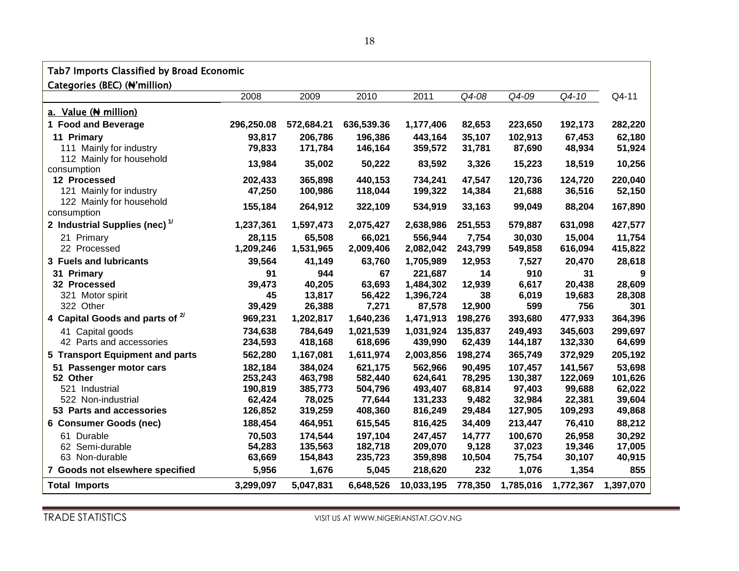#### Tab7 Imports Classified by Broad Economic

Categories (BEC) (₦'million)

|                                           | 2008       | 2009       | 2010       | 2011       | Q4-08   | Q4-09     | Q4-10     | Q4-11     |
|-------------------------------------------|------------|------------|------------|------------|---------|-----------|-----------|-----------|
| a. Value (N million)                      |            |            |            |            |         |           |           |           |
| 1 Food and Beverage                       | 296,250.08 | 572,684.21 | 636,539.36 | 1,177,406  | 82,653  | 223,650   | 192,173   | 282,220   |
| 11 Primary                                | 93,817     | 206,786    | 196,386    | 443,164    | 35,107  | 102,913   | 67,453    | 62,180    |
| 111 Mainly for industry                   | 79,833     | 171,784    | 146,164    | 359,572    | 31,781  | 87,690    | 48,934    | 51,924    |
| 112 Mainly for household<br>consumption   | 13,984     | 35,002     | 50,222     | 83,592     | 3,326   | 15,223    | 18,519    | 10,256    |
| 12 Processed                              | 202,433    | 365,898    | 440,153    | 734,241    | 47,547  | 120,736   | 124,720   | 220,040   |
| 121 Mainly for industry                   | 47,250     | 100,986    | 118,044    | 199,322    | 14,384  | 21,688    | 36,516    | 52,150    |
| 122 Mainly for household<br>consumption   | 155,184    | 264,912    | 322,109    | 534,919    | 33,163  | 99,049    | 88,204    | 167,890   |
| 2 Industrial Supplies (nec) <sup>1/</sup> | 1,237,361  | 1,597,473  | 2,075,427  | 2,638,986  | 251,553 | 579,887   | 631,098   | 427,577   |
| 21 Primary                                | 28,115     | 65,508     | 66,021     | 556,944    | 7,754   | 30,030    | 15,004    | 11,754    |
| 22 Processed                              | 1,209,246  | 1,531,965  | 2,009,406  | 2,082,042  | 243,799 | 549,858   | 616,094   | 415,822   |
| 3 Fuels and lubricants                    | 39,564     | 41,149     | 63,760     | 1,705,989  | 12,953  | 7,527     | 20,470    | 28,618    |
| 31 Primary                                | 91         | 944        | 67         | 221,687    | 14      | 910       | 31        | 9         |
| 32 Processed                              | 39,473     | 40,205     | 63,693     | 1,484,302  | 12,939  | 6,617     | 20,438    | 28,609    |
| 321 Motor spirit                          | 45         | 13,817     | 56,422     | 1,396,724  | 38      | 6,019     | 19,683    | 28,308    |
| 322 Other                                 | 39,429     | 26,388     | 7,271      | 87,578     | 12,900  | 599       | 756       | 301       |
| 4 Capital Goods and parts of 2/           | 969,231    | 1,202,817  | 1,640,236  | 1,471,913  | 198,276 | 393,680   | 477,933   | 364,396   |
| 41 Capital goods                          | 734,638    | 784,649    | 1,021,539  | 1,031,924  | 135,837 | 249,493   | 345,603   | 299,697   |
| 42 Parts and accessories                  | 234,593    | 418,168    | 618,696    | 439,990    | 62,439  | 144,187   | 132,330   | 64,699    |
| 5 Transport Equipment and parts           | 562,280    | 1,167,081  | 1,611,974  | 2,003,856  | 198,274 | 365,749   | 372,929   | 205,192   |
| 51 Passenger motor cars                   | 182,184    | 384,024    | 621,175    | 562,966    | 90,495  | 107,457   | 141,567   | 53,698    |
| 52 Other                                  | 253,243    | 463,798    | 582,440    | 624,641    | 78,295  | 130,387   | 122,069   | 101,626   |
| 521 Industrial                            | 190,819    | 385,773    | 504,796    | 493,407    | 68,814  | 97,403    | 99,688    | 62,022    |
| 522 Non-industrial                        | 62,424     | 78,025     | 77,644     | 131,233    | 9,482   | 32,984    | 22,381    | 39,604    |
| 53 Parts and accessories                  | 126,852    | 319,259    | 408,360    | 816,249    | 29,484  | 127,905   | 109,293   | 49,868    |
| 6 Consumer Goods (nec)                    | 188,454    | 464,951    | 615,545    | 816,425    | 34,409  | 213,447   | 76,410    | 88,212    |
| 61 Durable                                | 70,503     | 174,544    | 197,104    | 247,457    | 14,777  | 100,670   | 26,958    | 30,292    |
| 62 Semi-durable                           | 54,283     | 135,563    | 182,718    | 209,070    | 9,128   | 37,023    | 19,346    | 17,005    |
| 63 Non-durable                            | 63,669     | 154,843    | 235,723    | 359,898    | 10,504  | 75,754    | 30,107    | 40,915    |
| 7 Goods not elsewhere specified           | 5,956      | 1,676      | 5,045      | 218,620    | 232     | 1,076     | 1,354     | 855       |
| <b>Total Imports</b>                      | 3,299,097  | 5,047,831  | 6,648,526  | 10,033,195 | 778,350 | 1,785,016 | 1,772,367 | 1,397,070 |